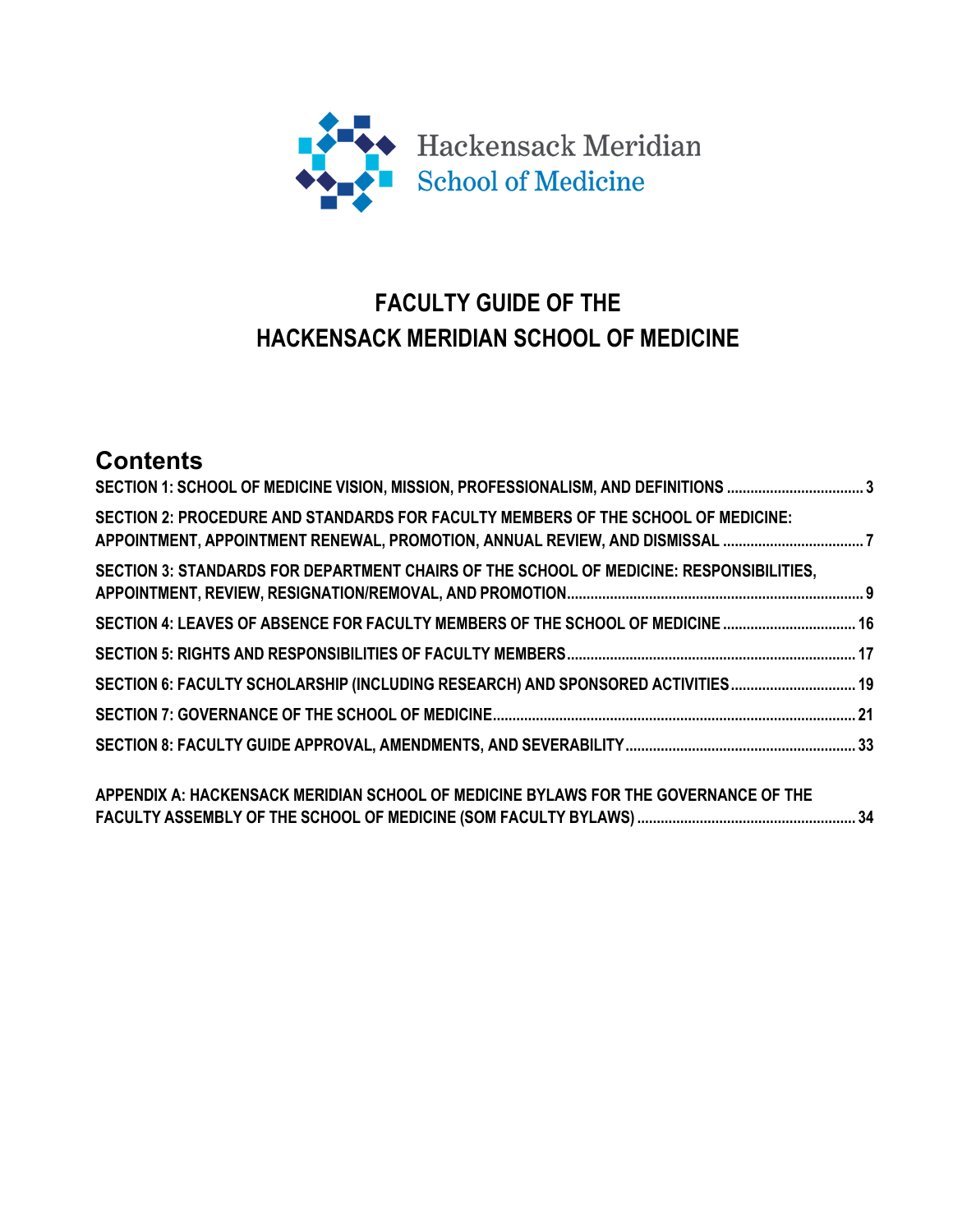

# **FACULTY GUIDE OF THE HACKENSACK MERIDIAN SCHOOL OF MEDICINE**

# **Contents**

| SECTION 1: SCHOOL OF MEDICINE VISION, MISSION, PROFESSIONALISM, AND DEFINITIONS 3<br>SECTION 2: PROCEDURE AND STANDARDS FOR FACULTY MEMBERS OF THE SCHOOL OF MEDICINE:<br>APPOINTMENT, APPOINTMENT RENEWAL, PROMOTION, ANNUAL REVIEW, AND DISMISSAL 7<br>SECTION 3: STANDARDS FOR DEPARTMENT CHAIRS OF THE SCHOOL OF MEDICINE: RESPONSIBILITIES,<br>SECTION 4: LEAVES OF ABSENCE FOR FACULTY MEMBERS OF THE SCHOOL OF MEDICINE  16 |  |                                                                                     |  |
|------------------------------------------------------------------------------------------------------------------------------------------------------------------------------------------------------------------------------------------------------------------------------------------------------------------------------------------------------------------------------------------------------------------------------------|--|-------------------------------------------------------------------------------------|--|
|                                                                                                                                                                                                                                                                                                                                                                                                                                    |  | SECTION 6: FACULTY SCHOLARSHIP (INCLUDING RESEARCH) AND SPONSORED ACTIVITIES 19     |  |
|                                                                                                                                                                                                                                                                                                                                                                                                                                    |  |                                                                                     |  |
|                                                                                                                                                                                                                                                                                                                                                                                                                                    |  |                                                                                     |  |
|                                                                                                                                                                                                                                                                                                                                                                                                                                    |  | APPENDIX A: HACKENSACK MERIDIAN SCHOOL OF MEDICINE BYLAWS FOR THE GOVERNANCE OF THE |  |

**FACULTY ASSEMBLY OF THE SCHOOL OF MEDICINE (SOM FACULTY BYLAWS)........................................................ 34**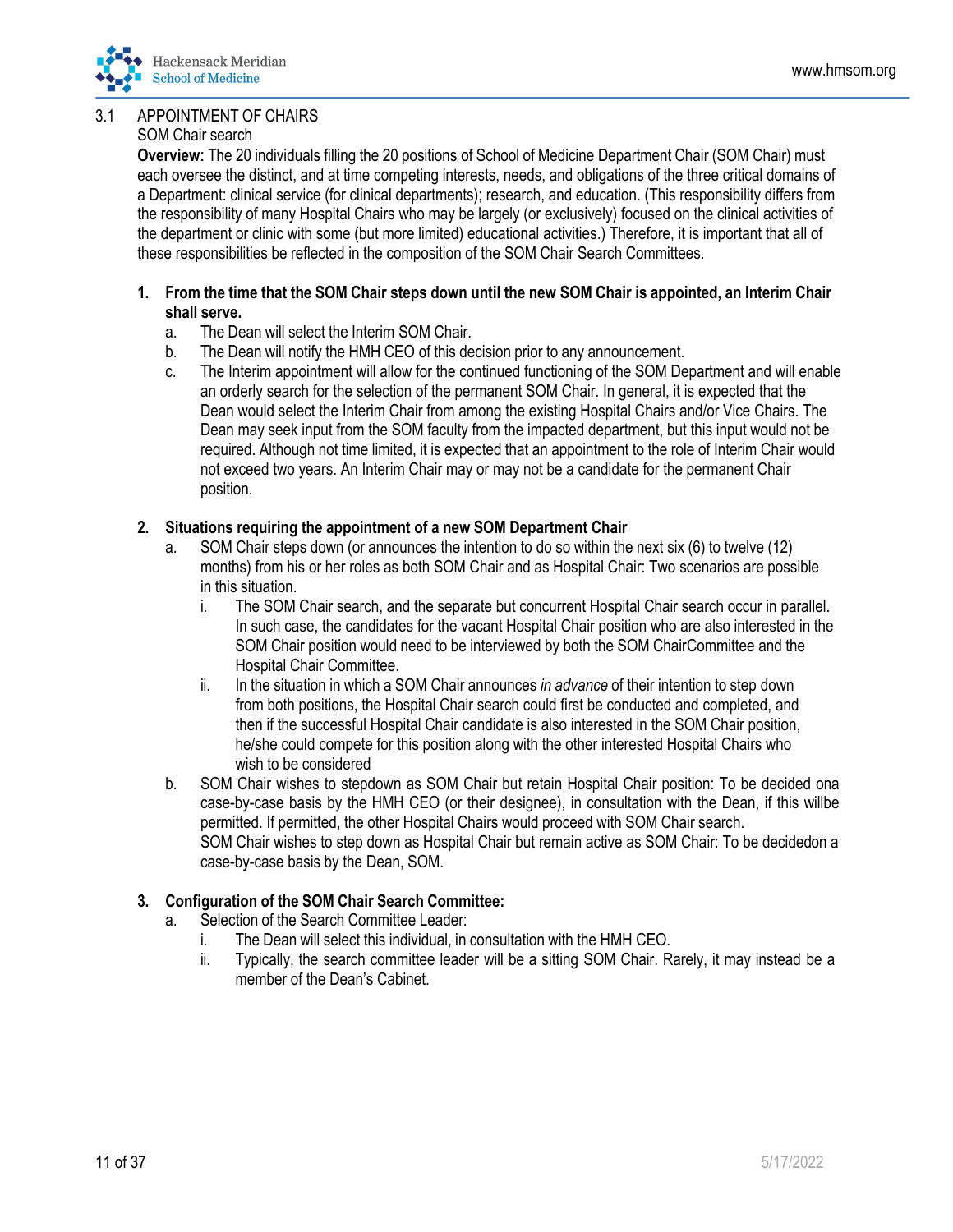## 3.1 APPOINTMENT OF CHAIRS

## SOM Chair search

**Overview:** The 20 individuals filling the 20 positions of School of Medicine Department Chair (SOM Chair) must each oversee the distinct, and at time competing interests, needs, and obligations of the three critical domains of a Department: clinical service (for clinical departments); research, and education. (This responsibility differs from the responsibility of many Hospital Chairs who may be largely (or exclusively) focused on the clinical activities of the department or clinic with some (but more limited) educational activities.) Therefore, it is important that all of these responsibilities be reflected in the composition of the SOM Chair Search Committees.

- 1. From the time that the SOM Chair steps down until the new SOM Chair is appointed, an Interim Chair **shall serve.**
	- a. The Dean will select the Interim SOM Chair.
	- b. The Dean will notify the HMH CEO of this decision prior to any announcement.
	- c. The Interim appointment will allow for the continued functioning of the SOM Department and will enable an orderly search for the selection of the permanent SOM Chair. In general, it is expected that the Dean would select the Interim Chair from among the existing Hospital Chairs and/or Vice Chairs. The Dean may seek input from the SOM faculty from the impacted department, but this input would not be required. Although not time limited, it is expected that an appointment to the role of Interim Chair would not exceed two years. An Interim Chair may or may not be a candidate for the permanent Chair position.
- **2. Situations requiring the appointment of a new SOM Department Chair**
	- a. SOM Chair steps down (or announces the intention to do so within the next six (6) to twelve (12) months) from his or her roles as both SOM Chair and as Hospital Chair: Two scenarios are possible in this situation.
		- i. The SOM Chair search, and the separate but concurrent Hospital Chair search occur in parallel. In such case, the candidates for the vacant Hospital Chair position who are also interested in the SOM Chair position would need to be interviewed by both the SOM ChairCommittee and the Hospital Chair Committee.
		- ii. In the situation in which a SOM Chair announces *in advance* of their intention to step down from both positions, the Hospital Chair search could first be conducted and completed, and then if the successful Hospital Chair candidate is also interested in the SOM Chair position, he/she could compete for this position along with the other interested Hospital Chairs who wish to be considered
	- b. SOM Chair wishes to stepdown as SOM Chair but retain Hospital Chair position: To be decided ona case-by-case basis by the HMH CEO (or their designee), in consultation with the Dean, if this willbe permitted. If permitted, the other Hospital Chairs would proceed with SOM Chair search. SOM Chair wishes to step down as Hospital Chair but remain active as SOM Chair: To be decidedon a case-by-case basis by the Dean, SOM.
- **3. Configuration of the SOM Chair Search Committee:**
	- a. Selection of the Search Committee Leader:
		- i. The Dean will select this individual, in consultation with the HMH CEO.
		- ii. Typically, the search committee leader will be a sitting SOM Chair. Rarely, it may instead be a member of the Dean's Cabinet.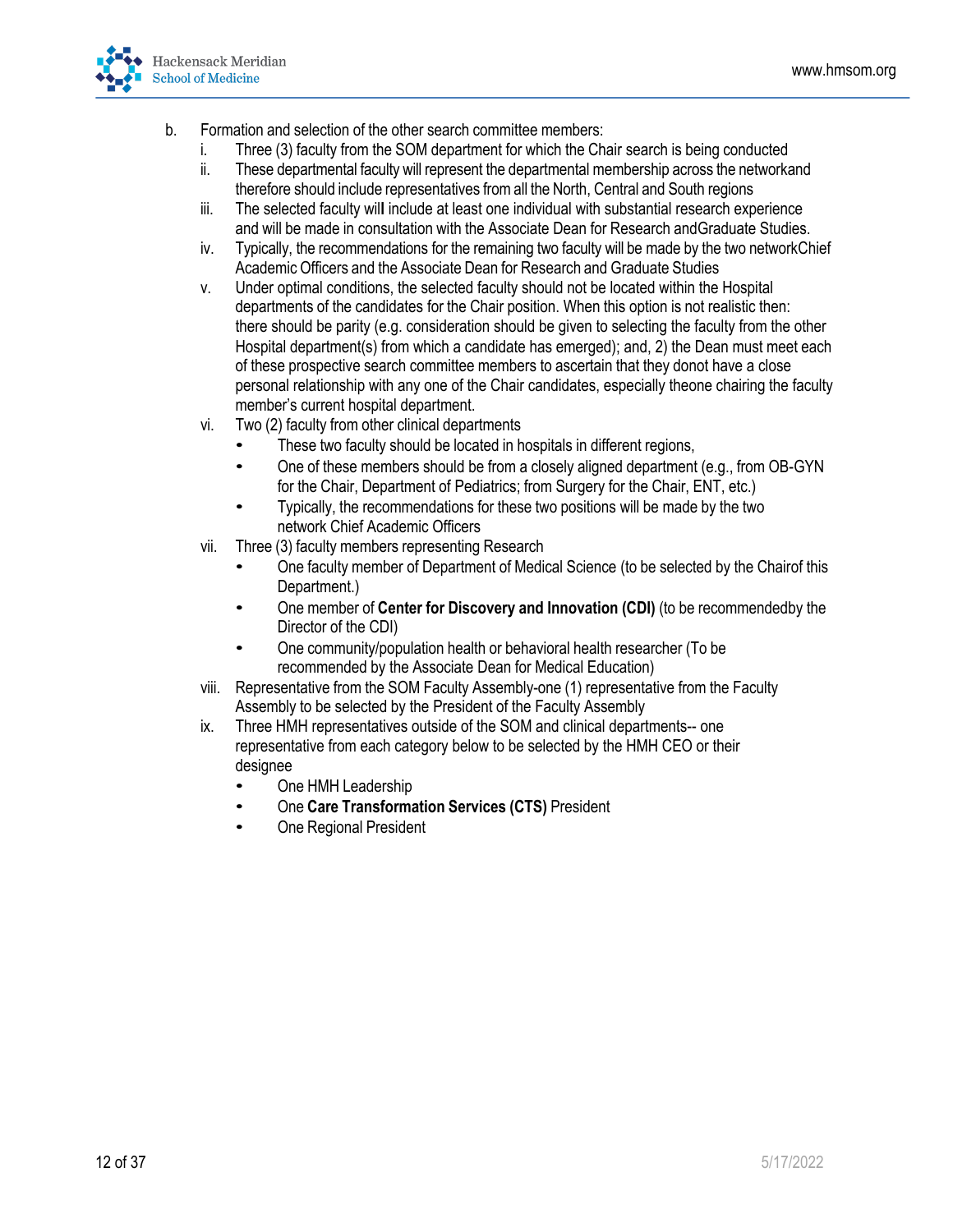

- b. Formation and selection of the other search committee members:
	- i. Three (3) faculty from the SOM department for which the Chair search is being conducted
	- ii. These departmental faculty will represent the departmental membership across the network and therefore should include representatives fromall the North, Central and South regions
	- iii. The selected faculty wil**l** include at least one individual with substantial research experience and will be made in consultation with the Associate Dean for Research andGraduate Studies.
	- iv. Typically, the recommendations for the remaining two faculty will be made by the two networkChief Academic Officers and the Associate Dean for Research and Graduate Studies
	- v. Under optimal conditions, the selected faculty should not be located within the Hospital departments of the candidates for the Chair position. When this option is not realistic then: there should be parity (e.g. consideration should be given to selecting the faculty from the other Hospital department(s) from which a candidate has emerged); and, 2) the Dean must meet each of these prospective search committee members to ascertain that they donot have a close personal relationship with any one of the Chair candidates, especially theone chairing the faculty member's current hospital department.
	- vi. Two (2) faculty from other clinical departments
		- These two faculty should be located in hospitals in different regions,
		- One of these members should be from a closely aligned department (e.g., from OB-GYN for the Chair, Department of Pediatrics; from Surgery for the Chair, ENT, etc.)
		- Typically, the recommendations for these two positions will be made by the two network Chief Academic Officers
	- vii. Three (3) faculty members representing Research
		- One faculty member of Department of Medical Science (to be selected by the Chair of this Department.)
		- One member of **Center for Discovery and Innovation (CDI)** (to be recommended by the Director of the CDI)
		- One community/population health or behavioral health researcher (To be recommended by the Associate Dean for Medical Education)
	- viii. Representative from the SOM Faculty Assembly-one (1) representative from the Faculty Assembly to be selected by the President of the Faculty Assembly
	- ix. Three HMH representatives outside of the SOM and clinical departments-- one representative from each category below to be selected by the HMH CEO or their designee
		- One HMH Leadership
		- One **Care Transformation Services (CTS)** President
		- One Regional President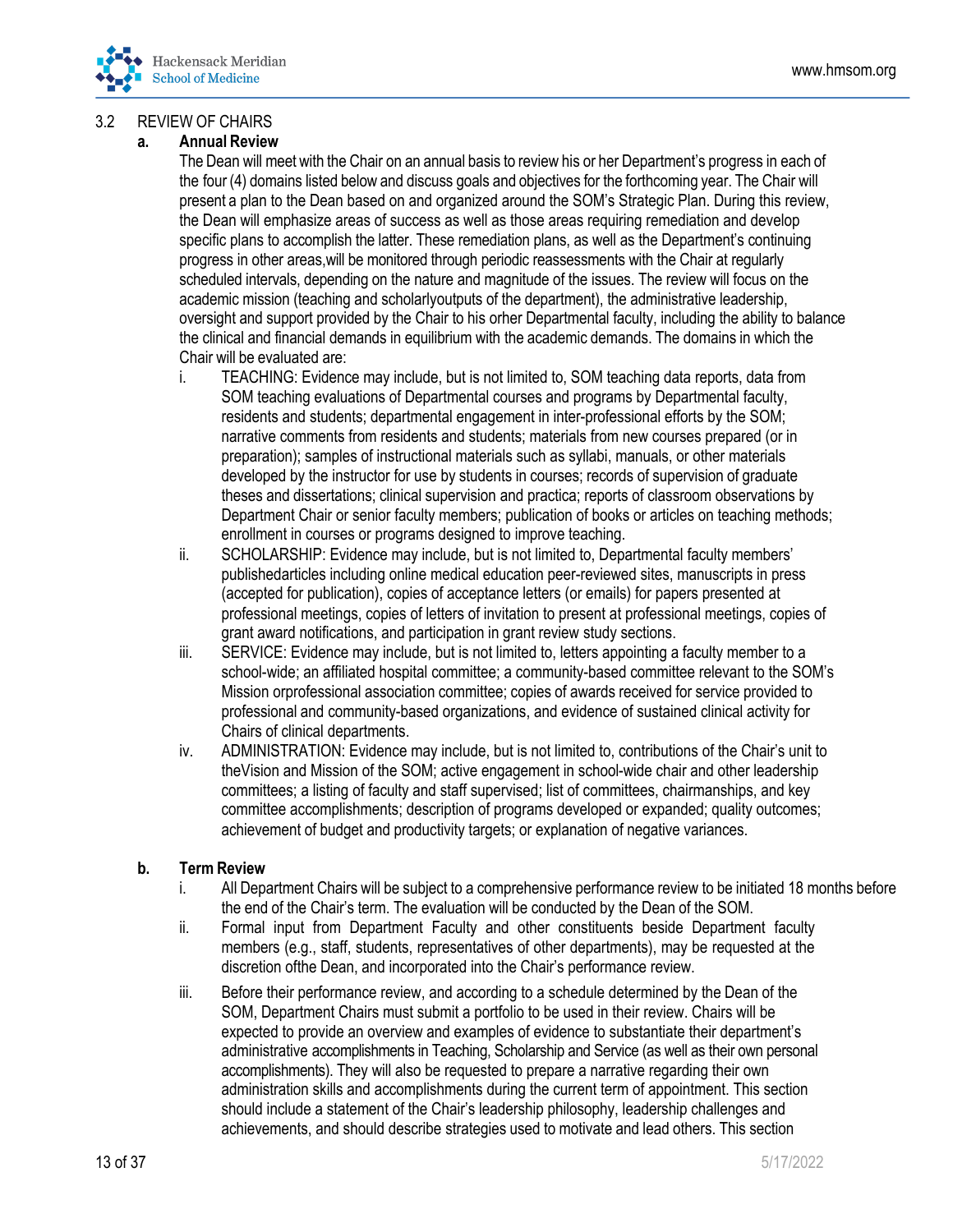

## 3.2 REVIEW OF CHAIRS

#### **a. Annual Review**

The Dean will meet with the Chair on an annual basis to review his or her Department's progress in each of the four (4) domains listed below and discuss goals and objectives for the forthcoming year. The Chair will present a plan to the Dean based on and organized around the SOM's Strategic Plan. During this review, the Dean will emphasize areas of success as well as those areas requiring remediation and develop specific plans to accomplish the latter. These remediation plans, as well as the Department's continuing progress in other areas,will be monitored through periodic reassessments with the Chair at regularly scheduled intervals, depending on the nature and magnitude of the issues. The review will focus on the academic mission (teaching and scholarlyoutputs of the department), the administrative leadership, oversight and support provided by the Chair to his orher Departmental faculty, including the ability to balance the clinical and financial demands in equilibrium with the academic demands. The domains in which the Chair will be evaluated are:

- i. TEACHING: Evidence may include, but is not limited to, SOM teaching data reports, data from SOM teaching evaluations of Departmental courses and programs by Departmental faculty, residents and students; departmental engagement in inter-professional efforts by the SOM; narrative comments from residents and students; materials from new courses prepared (or in preparation); samples of instructional materials such as syllabi, manuals, or other materials developed by the instructor for use by students in courses; records of supervision of graduate theses and dissertations; clinical supervision and practica; reports of classroom observations by Department Chair or senior faculty members; publication of books or articles on teaching methods; enrollment in courses or programs designed to improve teaching.
- ii. SCHOLARSHIP: Evidence may include, but is not limited to, Departmental faculty members' publishedarticles including online medical education peer-reviewed sites, manuscripts in press (accepted for publication), copies of acceptance letters (or emails) for papers presented at professional meetings, copies of letters of invitation to present at professional meetings, copies of grant award notifications, and participation in grant review study sections.
- iii. SERVICE: Evidence may include, but is not limited to, letters appointing a faculty member to a school-wide; an affiliated hospital committee; a community-based committee relevant to the SOM's Mission orprofessional association committee; copies of awards received for service provided to professional and community-based organizations, and evidence of sustained clinical activity for Chairs of clinical departments.
- iv. ADMINISTRATION: Evidence may include, but is not limited to, contributions of the Chair's unit to theVision and Mission of the SOM; active engagement in school-wide chair and other leadership committees; a listing of faculty and staff supervised; list of committees, chairmanships, and key committee accomplishments; description of programs developed or expanded; quality outcomes; achievement of budget and productivity targets; or explanation of negative variances.

#### **b. Term Review**

- i. All Department Chairs will be subject to a comprehensive performance review to be initiated 18 months before the end of the Chair's term. The evaluation will be conducted by the Dean of the SOM.
- ii. Formal input from Department Faculty and other constituents beside Department faculty members (e.g., staff, students, representatives of other departments), may be requested at the discretion ofthe Dean, and incorporated into the Chair's performance review.
- iii. Before their performance review, and according to a schedule determined by the Dean of the SOM, Department Chairs must submit a portfolio to be used in their review. Chairs will be expected to provide an overview and examples of evidence to substantiate their department's administrative accomplishments in Teaching, Scholarship and Service (as well as their own personal accomplishments). They will also be requested to prepare a narrative regarding their own administration skills and accomplishments during the current term of appointment. This section should include a statement of the Chair's leadership philosophy, leadership challenges and achievements, and should describe strategies used to motivate and lead others. This section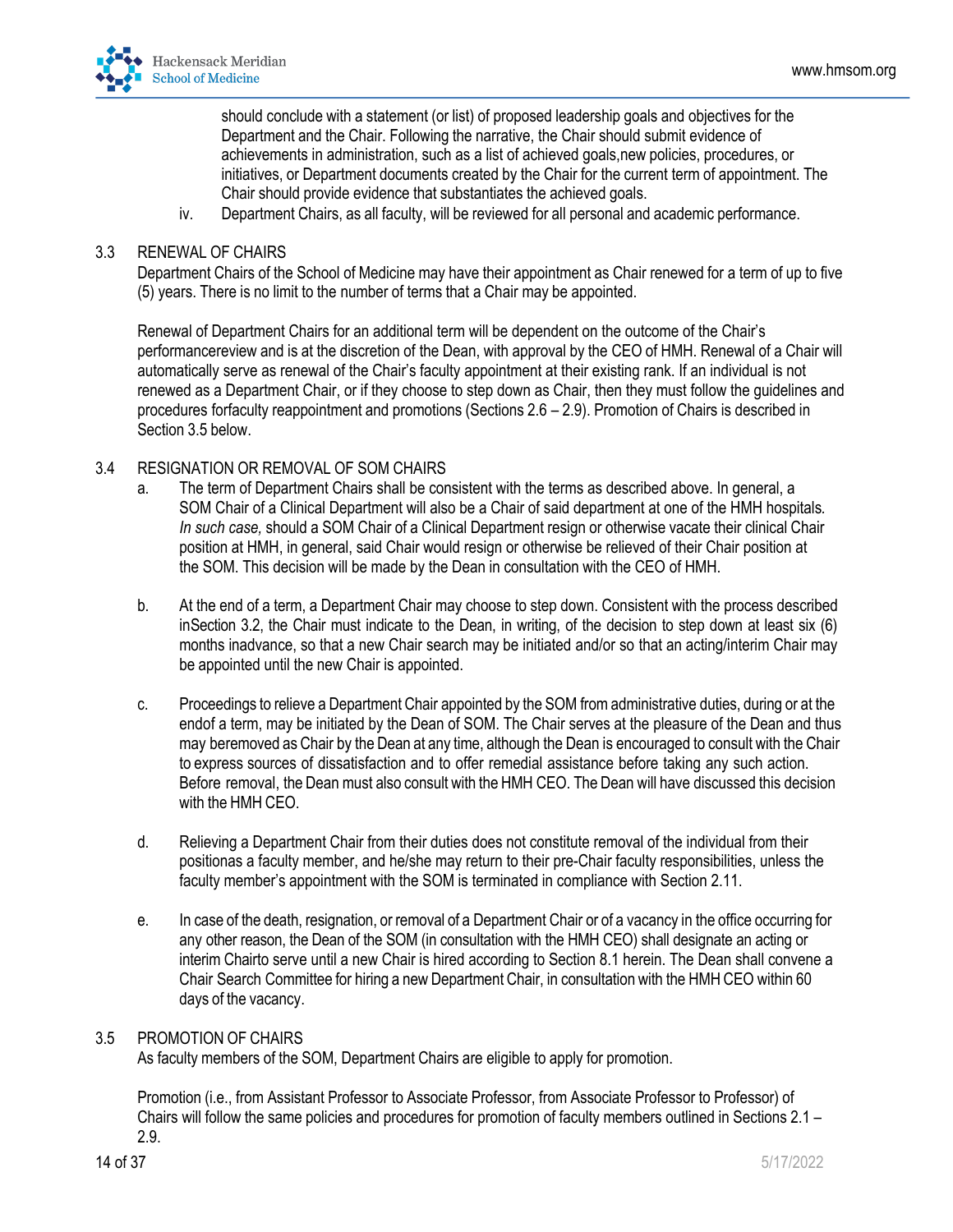

should conclude with a statement (or list) of proposed leadership goals and objectives for the Department and the Chair. Following the narrative, the Chair should submit evidence of achievements in administration, such as a list of achieved goals,new policies, procedures, or initiatives, or Department documents created by the Chair for the current term of appointment. The Chair should provide evidence that substantiates the achieved goals.

iv. Department Chairs, as all faculty, will be reviewed for all personal and academic performance.

#### 3.3 RENEWAL OF CHAIRS

Department Chairs of the School of Medicine may have their appointment as Chair renewed for a term of up to five (5) years. There is no limit to the number of terms that a Chair may be appointed.

Renewal of Department Chairs for an additional term will be dependent on the outcome of the Chair's performancereview and is at the discretion of the Dean, with approval by the CEO of HMH. Renewal of a Chair will automatically serve as renewal of the Chair's faculty appointment at their existing rank. If an individual is not renewed as a Department Chair, or if they choose to step down as Chair, then they must follow the guidelines and procedures forfaculty reappointment and promotions (Sections 2.6 – 2.9). Promotion of Chairs is described in Section 3.5 below.

#### 3.4 RESIGNATION OR REMOVAL OF SOM CHAIRS

- a. The term of Department Chairs shall be consistent with the terms as described above. In general, a SOM Chair of a Clinical Department will also be a Chair of said department at one of the HMH hospitals*. In such case,* should a SOM Chair of a Clinical Department resign or otherwise vacate their clinical Chair position at HMH, in general, said Chair would resign or otherwise be relieved of their Chair position at the SOM. This decision will be made by the Dean in consultation with the CEO of HMH.
- b. At the end of a term, a Department Chair may choose to step down. Consistent with the process described inSection 3.2, the Chair must indicate to the Dean, in writing, of the decision to step down at least six (6) months inadvance, so that a new Chair search may be initiated and/or so that an acting/interim Chair may be appointed until the new Chair is appointed.
- c. Proceedings to relieve a Department Chair appointed by the SOM fromadministrative duties, during or at the endof a term, may be initiated by the Dean of SOM. The Chair serves at the pleasure of the Dean and thus may beremoved as Chair by the Dean at any time, although the Dean is encouraged to consult with the Chair to express sources of dissatisfaction and to offer remedial assistance before taking any such action. Before removal, the Dean must also consult with the HMH CEO. The Dean will have discussed this decision with the HMH CEO.
- d. Relieving a Department Chair from their duties does not constitute removal of the individual from their positionas a faculty member, and he/she may return to their pre-Chair faculty responsibilities, unless the faculty member's appointment with the SOM is terminated in compliance with Section 2.11.
- e. In case of the death, resignation, or removal of a Department Chair or of a vacancy in the office occurring for any other reason, the Dean of the SOM (in consultation with the HMH CEO) shall designate an acting or interim Chairto serve until a new Chair is hired according to Section 8.1 herein. The Dean shall convene a Chair Search Committee for hiring a new Department Chair, in consultation with the HMH CEO within 60 days of the vacancy.

#### 3.5 PROMOTION OF CHAIRS

As faculty members of the SOM, Department Chairs are eligible to apply for promotion.

Promotion (i.e., from Assistant Professor to Associate Professor, from Associate Professor to Professor) of Chairs will follow the same policies and procedures for promotion of faculty members outlined in Sections 2.1 – 2.9.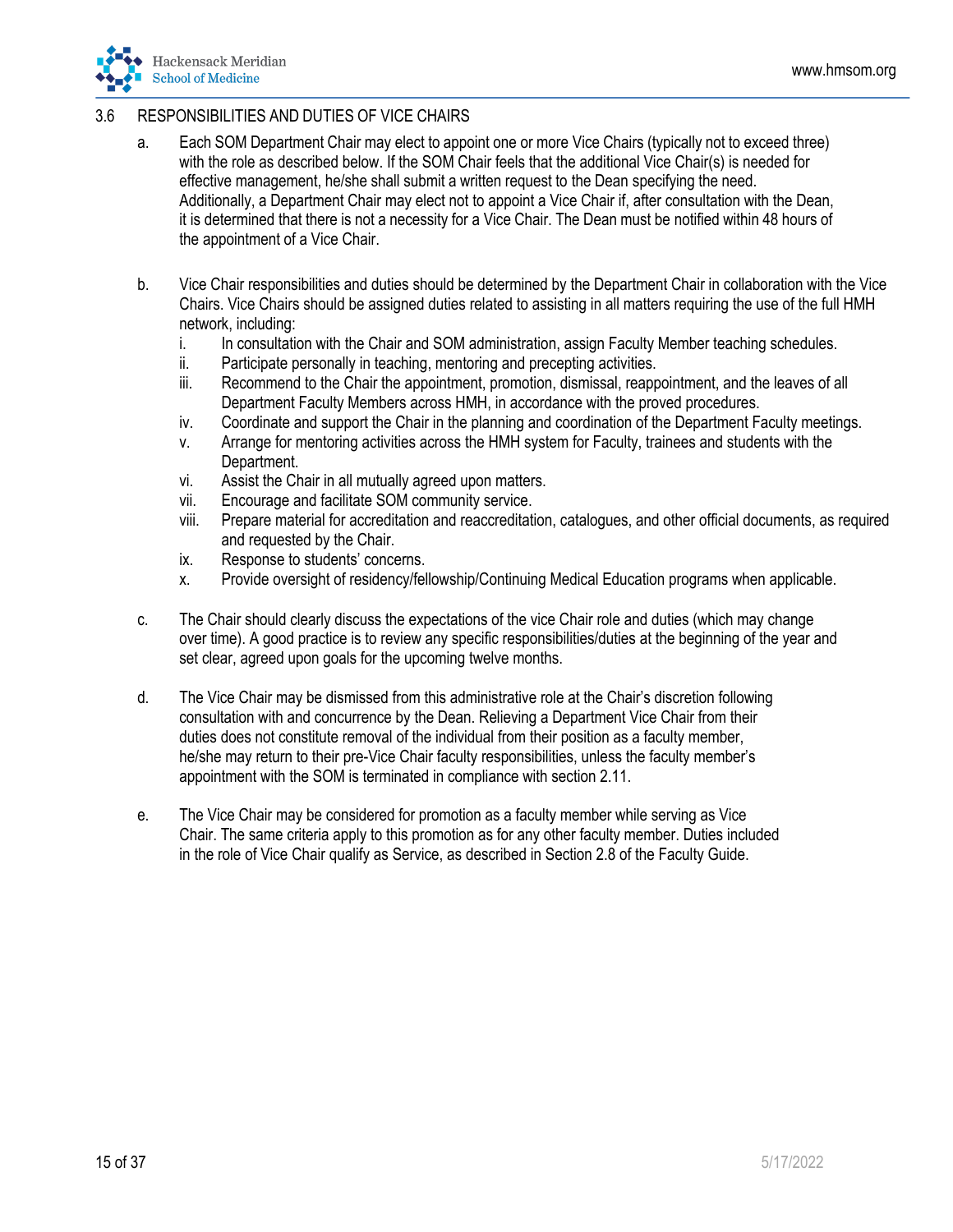

## 3.6 RESPONSIBILITIES AND DUTIES OF VICE CHAIRS

- a. Each SOM Department Chair may elect to appoint one or more Vice Chairs (typically not to exceed three) with the role as described below. If the SOM Chair feels that the additional Vice Chair(s) is needed for effective management, he/she shall submit a written request to the Dean specifying the need. Additionally, a Department Chair may elect not to appoint a Vice Chair if, after consultation with the Dean, it is determined that there is not a necessity for a Vice Chair. The Dean must be notified within 48 hours of the appointment of a Vice Chair.
- b. Vice Chair responsibilities and duties should be determined by the Department Chair in collaboration with the Vice Chairs. Vice Chairs should be assigned duties related to assisting in all matters requiring the use of the full HMH network, including:
	- i. In consultation with the Chair and SOM administration, assign Faculty Member teaching schedules.
	- ii. Participate personally in teaching, mentoring and precepting activities.
	- iii. Recommend to the Chair the appointment, promotion, dismissal, reappointment, and the leaves of all Department Faculty Members across HMH, in accordance with the proved procedures.
	- iv. Coordinate and support the Chair in the planning and coordination of the Department Faculty meetings.
	- v. Arrange for mentoring activities across the HMH system for Faculty, trainees and students with the Department.
	- vi. Assist the Chair in all mutually agreed upon matters.
	- vii. Encourage and facilitate SOM community service.
	- viii. Prepare material for accreditation and reaccreditation, catalogues, and other official documents, as required and requested by the Chair.
	- ix. Response to students' concerns.
	- x. Provide oversight of residency/fellowship/Continuing Medical Education programs when applicable.
- c. The Chair should clearly discuss the expectations of the vice Chair role and duties (which may change over time). A good practice is to review any specific responsibilities/duties at the beginning of the year and set clear, agreed upon goals for the upcoming twelve months.
- d. The Vice Chair may be dismissed from this administrative role at the Chair's discretion following consultation with and concurrence by the Dean. Relieving a Department Vice Chair from their duties does not constitute removal of the individual from their position as a faculty member, he/she may return to their pre-Vice Chair faculty responsibilities, unless the faculty member's appointment with the SOM is terminated in compliance with section 2.11.
- e. The Vice Chair may be considered for promotion as a faculty member while serving as Vice Chair. The same criteria apply to this promotion as for any other faculty member. Duties included in the role of Vice Chair qualify as Service, as described in Section 2.8 of the Faculty Guide.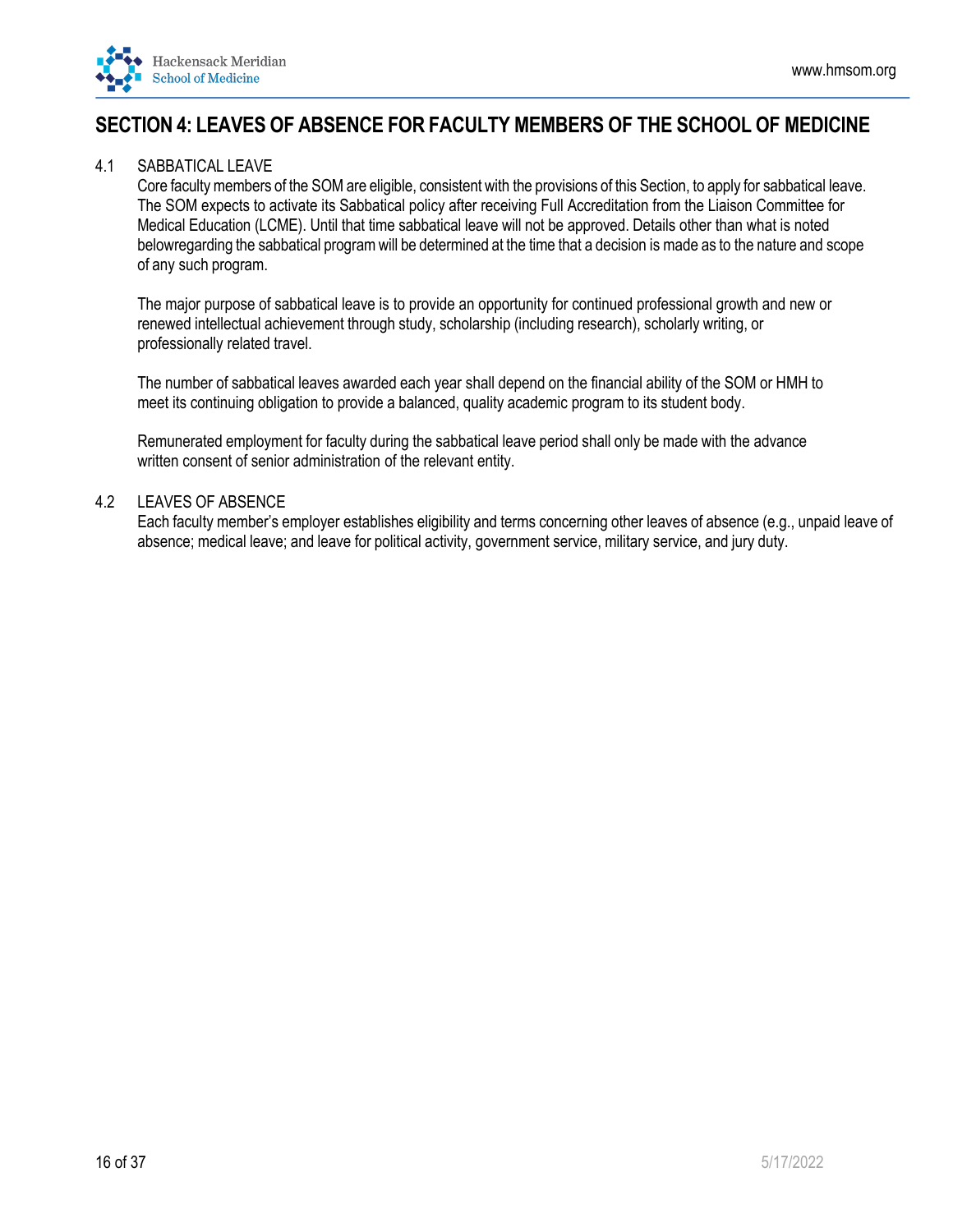<span id="page-15-0"></span>

## **SECTION 4: LEAVES OF ABSENCE FOR FACULTY MEMBERS OF THE SCHOOL OF MEDICINE**

### 4.1 SABBATICAL LEAVE

Core faculty members of the SOMare eligible, consistent with the provisions of this Section, to apply for sabbatical leave. The SOM expects to activate its Sabbatical policy after receiving Full Accreditation from the Liaison Committee for Medical Education (LCME). Until that time sabbatical leave will not be approved. Details other than what is noted belowregarding the sabbatical programwill be determined at the time that a decision is made as to the nature and scope of any such program.

The major purpose of sabbatical leave is to provide an opportunity for continued professional growth and new or renewed intellectual achievement through study, scholarship (including research), scholarly writing, or professionally related travel.

The number of sabbatical leaves awarded each year shall depend on the financial ability of the SOM or HMH to meet its continuing obligation to provide a balanced, quality academic program to its student body.

Remunerated employment for faculty during the sabbatical leave period shall only be made with the advance written consent of senior administration of the relevant entity.

#### 4.2 LEAVES OF ABSENCE

Each faculty member's employer establishes eligibility and terms concerning other leaves of absence (e.g., unpaid leave of absence; medical leave; and leave for political activity, government service, military service, and jury duty.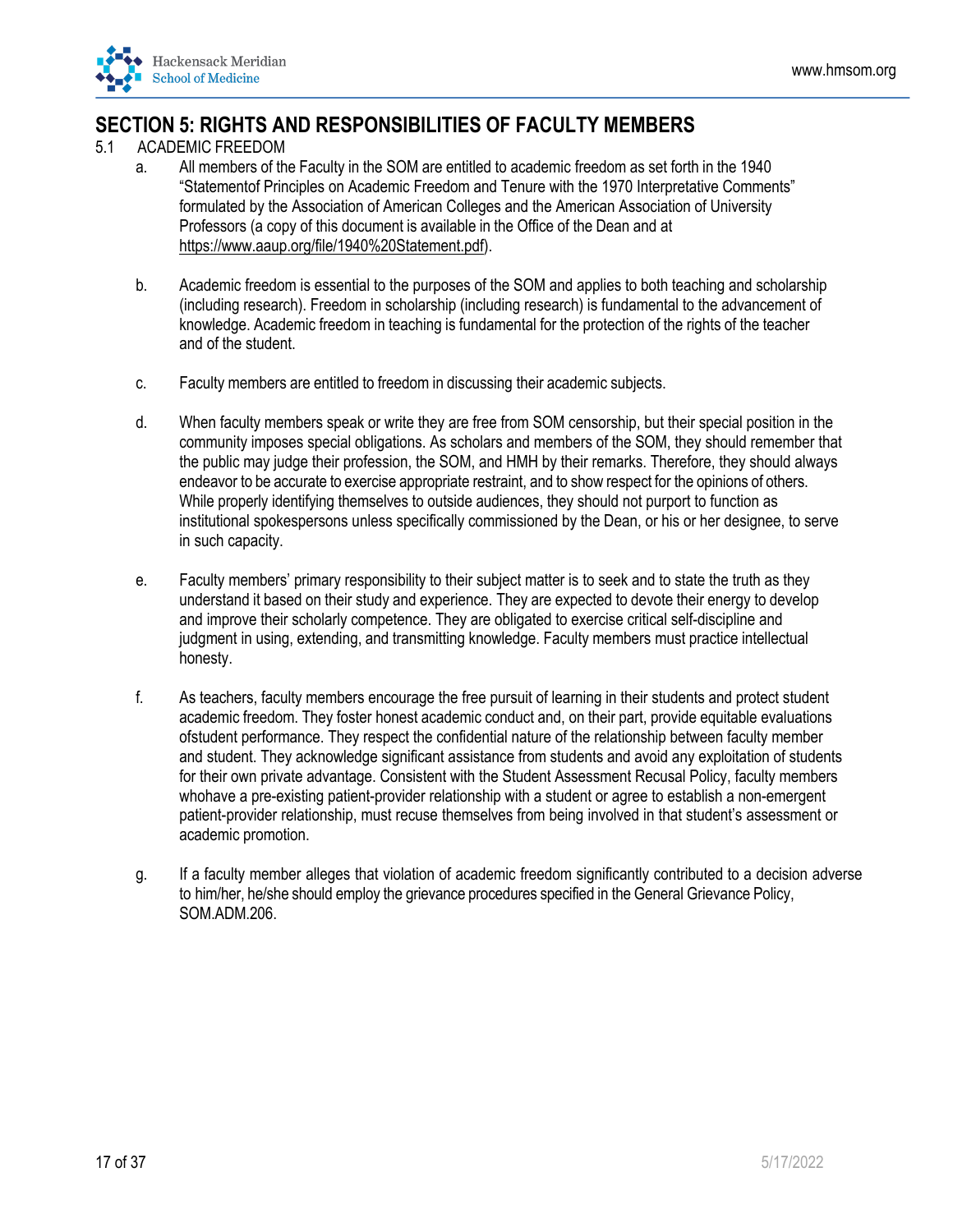<span id="page-16-0"></span>

## **SECTION 5: RIGHTS AND RESPONSIBILITIES OF FACULTY MEMBERS**

- 5.1 ACADEMIC FREEDOM
	- a. All members of the Faculty in the SOM are entitled to academic freedom as set forth in the 1940 "Statementof Principles on Academic Freedom and Tenure with the 1970 Interpretative Comments" formulated by the Association of American Colleges and the American Association of University Professors (a copy of this document is available in the Office of the Dean and at [https://www.aaup.org/file/1940%20Statement.pdf\).](https://www.aaup.org/file/1940%20Statement.pdf)
	- b. Academic freedom is essential to the purposes of the SOM and applies to both teaching and scholarship (including research). Freedom in scholarship (including research) is fundamental to the advancement of knowledge. Academic freedom in teaching is fundamental for the protection of the rights of the teacher and of the student.
	- c. Faculty members are entitled to freedom in discussing their academic subjects.
	- d. When faculty members speak or write they are free from SOM censorship, but their special position in the community imposes special obligations. As scholars and members of the SOM, they should remember that the public may judge their profession, the SOM, and HMH by their remarks. Therefore, they should always endeavor to be accurate to exercise appropriate restraint, and to show respect for the opinions of others. While properly identifying themselves to outside audiences, they should not purport to function as institutional spokespersons unless specifically commissioned by the Dean, or his or her designee, to serve in such capacity.
	- e. Faculty members' primary responsibility to their subject matter is to seek and to state the truth as they understand it based on their study and experience. They are expected to devote their energy to develop and improve their scholarly competence. They are obligated to exercise critical self-discipline and judgment in using, extending, and transmitting knowledge. Faculty members must practice intellectual honesty.
	- f. As teachers, faculty members encourage the free pursuit of learning in their students and protect student academic freedom. They foster honest academic conduct and, on their part, provide equitable evaluations ofstudent performance. They respect the confidential nature of the relationship between faculty member and student. They acknowledge significant assistance from students and avoid any exploitation of students for their own private advantage. Consistent with the Student Assessment Recusal Policy, faculty members whohave a pre-existing patient-provider relationship with a student or agree to establish a non-emergent patient-provider relationship, must recuse themselves from being involved in that student's assessment or academic promotion.
	- g. If a faculty member alleges that violation of academic freedom significantly contributed to a decision adverse to him/her, he/she should employ the grievance procedures specified in the General Grievance Policy, SOM.ADM.206.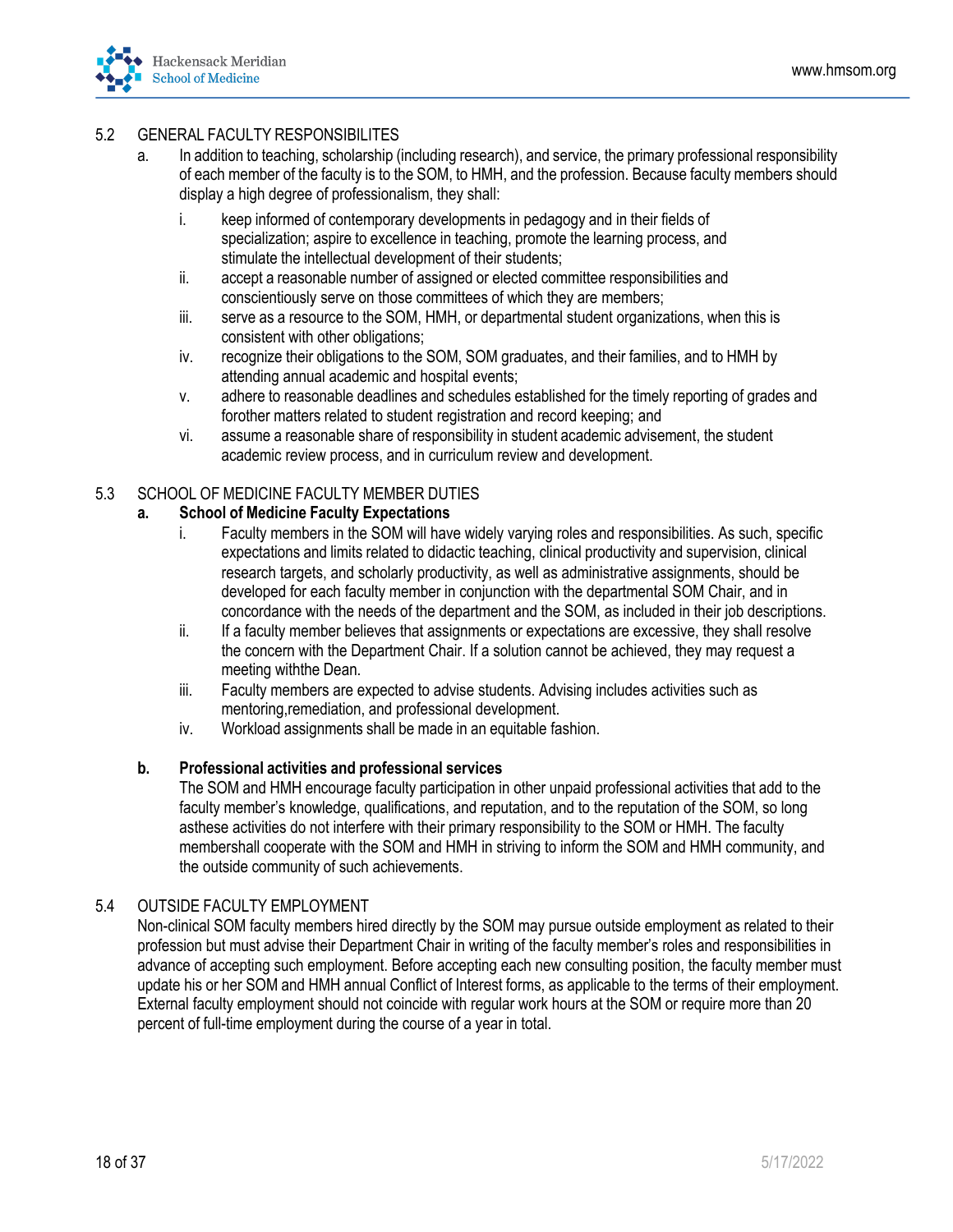

## 5.2 GENERAL FACULTY RESPONSIBILITES

- a. In addition to teaching, scholarship (including research), and service, the primary professional responsibility of each member of the faculty is to the SOM, to HMH, and the profession. Because faculty members should display a high degree of professionalism, they shall:
	- i. keep informed of contemporary developments in pedagogy and in their fields of specialization; aspire to excellence in teaching, promote the learning process, and stimulate the intellectual development of their students;
	- ii. accept a reasonable number of assigned or elected committee responsibilities and conscientiously serve on those committees of which they are members;
	- iii. serve as a resource to the SOM, HMH, or departmental student organizations, when this is consistent with other obligations;
	- iv. recognize their obligations to the SOM, SOM graduates, and their families, and to HMH by attending annual academic and hospital events;
	- v. adhere to reasonable deadlines and schedules established for the timely reporting of grades and forother matters related to student registration and record keeping; and
	- vi. assume a reasonable share of responsibility in student academic advisement, the student academic review process, and in curriculum review and development.

## 5.3 SCHOOL OF MEDICINE FACULTY MEMBER DUTIES

#### **a. School of Medicine Faculty Expectations**

- i. Faculty members in the SOM will have widely varying roles and responsibilities. As such, specific expectations and limits related to didactic teaching, clinical productivity and supervision, clinical research targets, and scholarly productivity, as well as administrative assignments, should be developed for each faculty member in conjunction with the departmental SOM Chair, and in concordance with the needs of the department and the SOM, as included in their job descriptions.
- ii. If a faculty member believes that assignments or expectations are excessive, they shall resolve the concern with the Department Chair. If a solution cannot be achieved, they may request a meeting withthe Dean.
- iii. Faculty members are expected to advise students. Advising includes activities such as mentoring,remediation, and professional development.
- iv. Workload assignments shall be made in an equitable fashion.

#### **b. Professional activities and professional services**

The SOM and HMH encourage faculty participation in other unpaid professional activities that add to the faculty member's knowledge, qualifications, and reputation, and to the reputation of the SOM, so long asthese activities do not interfere with their primary responsibility to the SOM or HMH. The faculty membershall cooperate with the SOM and HMH in striving to inform the SOM and HMH community, and the outside community of such achievements.

#### 5.4 OUTSIDE FACULTY EMPLOYMENT

Non-clinical SOM faculty members hired directly by the SOM may pursue outside employment as related to their profession but must advise their Department Chair in writing of the faculty member's roles and responsibilities in advance of accepting such employment. Before accepting each new consulting position, the faculty member must update his or her SOM and HMH annual Conflict of Interest forms, as applicable to the terms of their employment. External faculty employment should not coincide with regular work hours at the SOM or require more than 20 percent of full-time employment during the course of a year in total.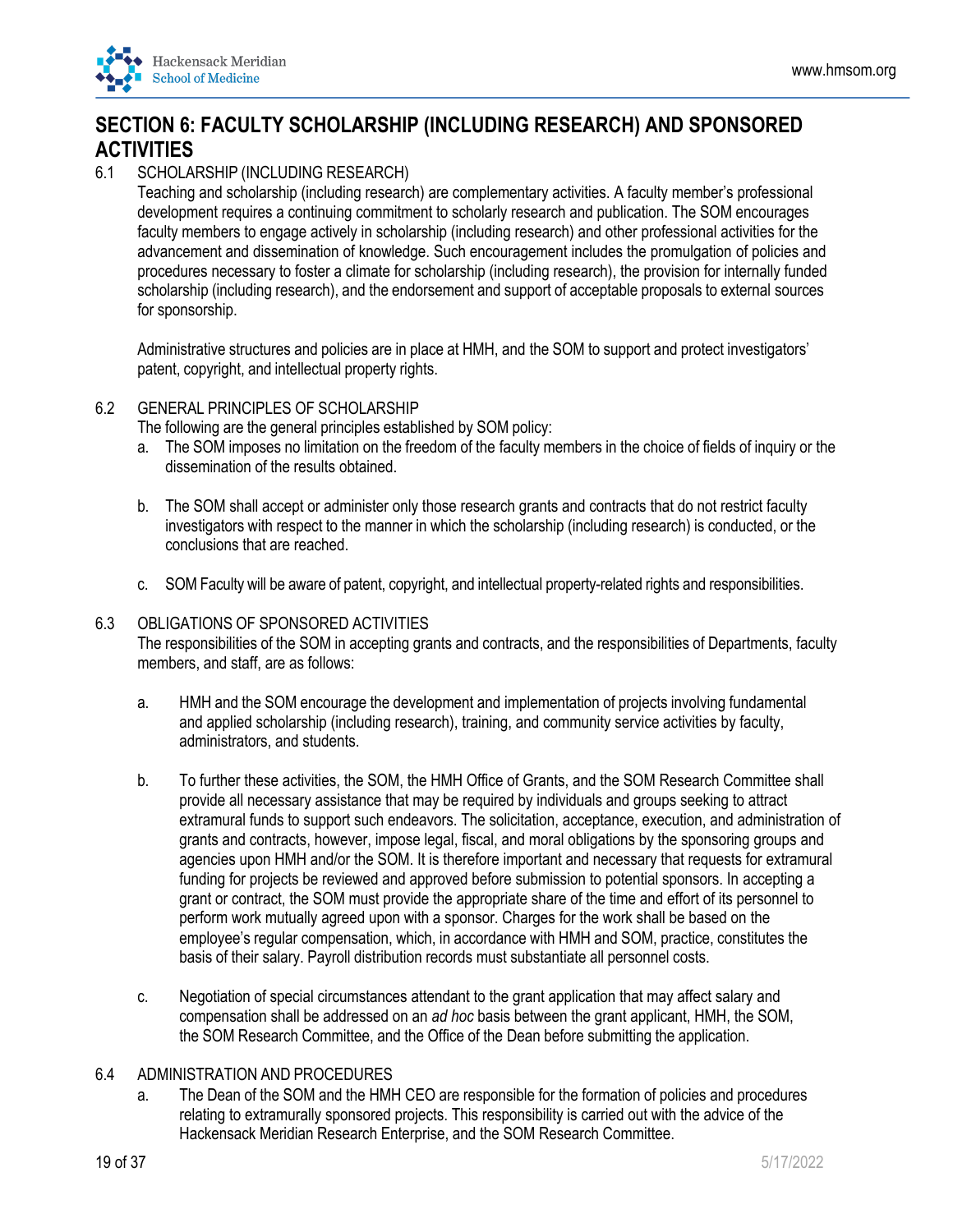<span id="page-18-0"></span>

## **SECTION 6: FACULTY SCHOLARSHIP (INCLUDING RESEARCH) AND SPONSORED ACTIVITIES**

## 6.1 SCHOLARSHIP (INCLUDING RESEARCH)

Teaching and scholarship (including research) are complementary activities. A faculty member's professional development requires a continuing commitment to scholarly research and publication. The SOM encourages faculty members to engage actively in scholarship (including research) and other professional activities for the advancement and dissemination of knowledge. Such encouragement includes the promulgation of policies and procedures necessary to foster a climate for scholarship (including research), the provision for internally funded scholarship (including research), and the endorsement and support of acceptable proposals to external sources for sponsorship.

Administrative structures and policies are in place at HMH, and the SOM to support and protect investigators' patent, copyright, and intellectual property rights.

#### 6.2 GENERAL PRINCIPLES OF SCHOLARSHIP

The following are the general principles established by SOM policy:

- a. The SOM imposes no limitation on the freedom of the faculty members in the choice of fields of inquiry or the dissemination of the results obtained.
- b. The SOM shall accept or administer only those research grants and contracts that do not restrict faculty investigators with respect to the manner in which the scholarship (including research) is conducted, or the conclusions that are reached.
- c. SOMFaculty will be aware of patent, copyright, and intellectual property-related rights and responsibilities.

#### 6.3 OBLIGATIONS OF SPONSORED ACTIVITIES

The responsibilities of the SOM in accepting grants and contracts, and the responsibilities of Departments, faculty members, and staff, are as follows:

- a. HMH and the SOM encourage the development and implementation of projects involving fundamental and applied scholarship (including research), training, and community service activities by faculty, administrators, and students.
- b. To further these activities, the SOM, the HMH Office of Grants, and the SOM Research Committee shall provide all necessary assistance that may be required by individuals and groups seeking to attract extramural funds to support such endeavors. The solicitation, acceptance, execution, and administration of grants and contracts, however, impose legal, fiscal, and moral obligations by the sponsoring groups and agencies upon HMH and/or the SOM. It is therefore important and necessary that requests for extramural funding for projects be reviewed and approved before submission to potential sponsors. In accepting a grant or contract, the SOM must provide the appropriate share of the time and effort of its personnel to perform work mutually agreed upon with a sponsor. Charges for the work shall be based on the employee's regular compensation, which, in accordance with HMH and SOM, practice, constitutes the basis of their salary. Payroll distribution records must substantiate all personnel costs.
- c. Negotiation of special circumstances attendant to the grant application that may affect salary and compensation shall be addressed on an *ad hoc* basis between the grant applicant, HMH, the SOM, the SOM Research Committee, and the Office of the Dean before submitting the application.

#### 6.4 ADMINISTRATION AND PROCEDURES

a. The Dean of the SOM and the HMH CEO are responsible for the formation of policies and procedures relating to extramurally sponsored projects. This responsibility is carried out with the advice of the Hackensack Meridian Research Enterprise, and the SOM Research Committee.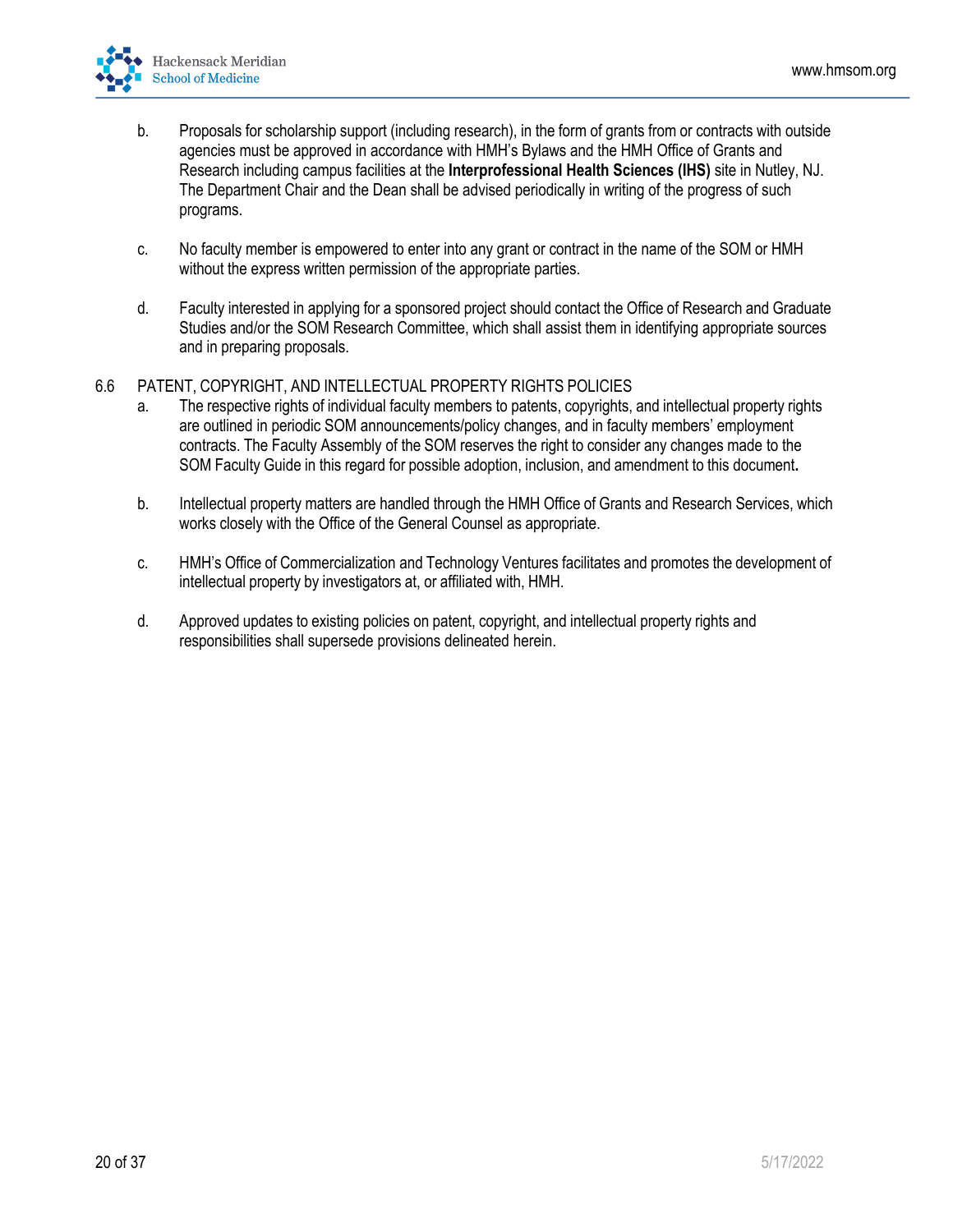

- b. Proposals for scholarship support (including research), in the form of grants from or contracts with outside agencies must be approved in accordance with HMH's Bylaws and the HMH Office of Grants and Research including campus facilities at the **Interprofessional Health Sciences (IHS)** site in Nutley, NJ. The Department Chair and the Dean shall be advised periodically in writing of the progress of such programs.
- c. No faculty member is empowered to enter into any grant or contract in the name of the SOM or HMH without the express written permission of the appropriate parties.
- d. Faculty interested in applying for a sponsored project should contact the Office of Research and Graduate Studies and/or the SOM Research Committee, which shall assist them in identifying appropriate sources and in preparing proposals.
- 6.6 PATENT, COPYRIGHT, AND INTELLECTUAL PROPERTY RIGHTS POLICIES
	- a. The respective rights of individual faculty members to patents, copyrights, and intellectual property rights are outlined in periodic SOM announcements/policy changes, and in faculty members' employment contracts. The Faculty Assembly of the SOM reserves the right to consider any changes made to the SOM Faculty Guide in this regard for possible adoption, inclusion, and amendment to this document**.**
	- b. Intellectual property matters are handled through the HMH Office of Grants and Research Services, which works closely with the Office of the General Counsel as appropriate.
	- c. HMH's Office of Commercialization and Technology Ventures facilitates and promotes the development of intellectual property by investigators at, or affiliated with, HMH.
	- d. Approved updates to existing policies on patent, copyright, and intellectual property rights and responsibilities shall supersede provisions delineated herein.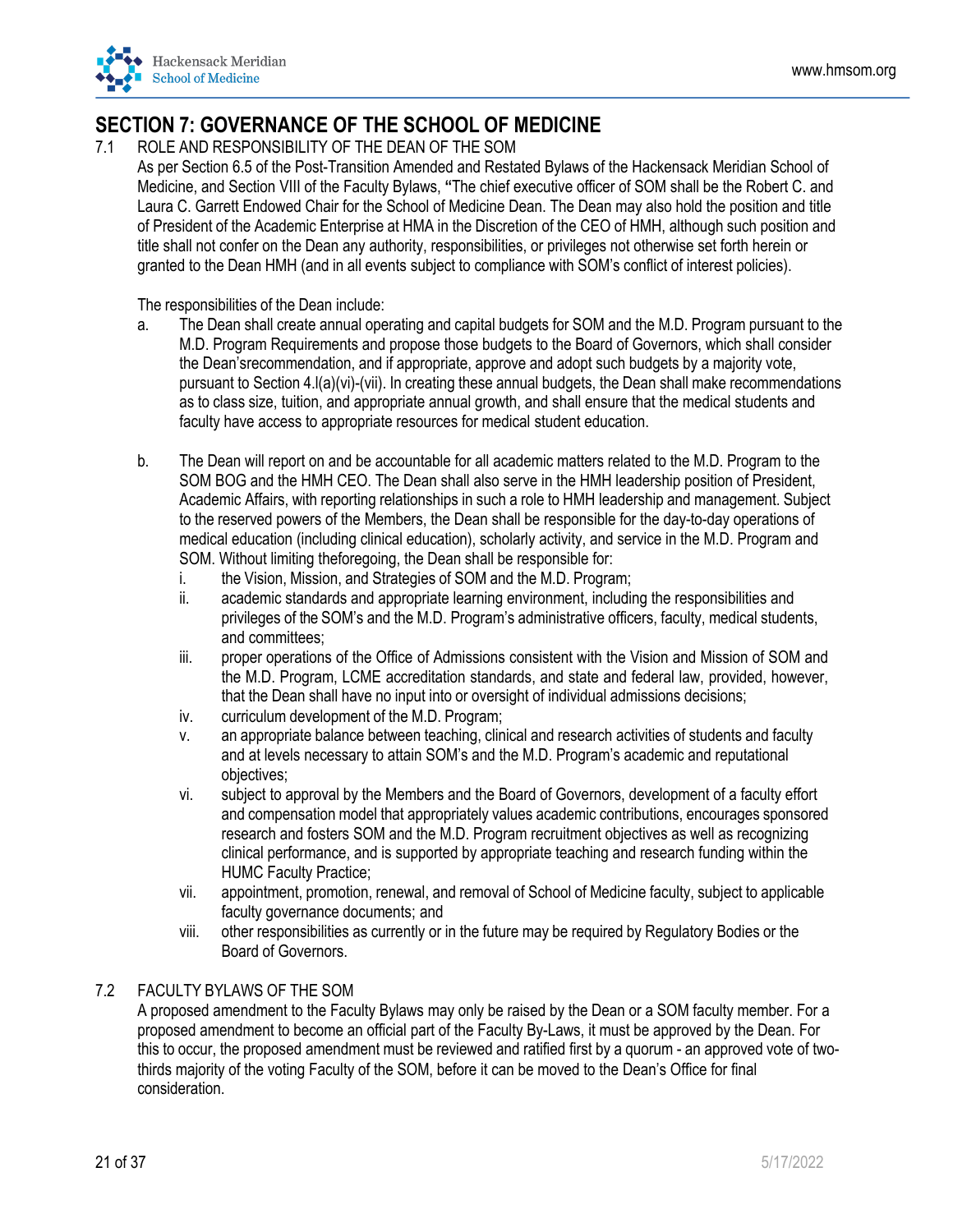## <span id="page-20-0"></span>**SECTION 7: GOVERNANCE OF THE SCHOOL OF MEDICINE**

7.1 ROLE AND RESPONSIBILITY OF THE DEAN OF THE SOM

As per Section 6.5 of the Post-Transition Amended and Restated Bylaws of the Hackensack Meridian School of Medicine, and Section VIII of the Faculty Bylaws, **"**The chief executive officer of SOM shall be the Robert C. and Laura C. Garrett Endowed Chair for the School of Medicine Dean. The Dean may also hold the position and title of President of the Academic Enterprise at HMA in the Discretion of the CEO of HMH, although such position and title shall not confer on the Dean any authority, responsibilities, or privileges not otherwise set forth herein or granted to the Dean HMH (and in all events subject to compliance with SOM's conflict of interest policies).

The responsibilities of the Dean include:

- a. The Dean shall create annual operating and capital budgets for SOM and the M.D. Program pursuant to the M.D. Program Requirements and propose those budgets to the Board of Governors, which shall consider the Dean'srecommendation, and if appropriate, approve and adopt such budgets by a majority vote, pursuant to Section 4.l(a)(vi)-(vii). In creating these annual budgets, the Dean shall make recommendations as to class size, tuition, and appropriate annual growth, and shall ensure that the medical students and faculty have access to appropriate resources for medical student education.
- b. The Dean will report on and be accountable for all academic matters related to the M.D. Program to the SOM BOG and the HMH CEO. The Dean shall also serve in the HMH leadership position of President, Academic Affairs, with reporting relationships in such a role to HMH leadership and management. Subject to the reserved powers of the Members, the Dean shall be responsible for the day-to-day operations of medical education (including clinical education), scholarly activity, and service in the M.D. Program and SOM. Without limiting theforegoing, the Dean shall be responsible for:
	- i. the Vision, Mission, and Strategies of SOM and the M.D. Program;
	- ii. academic standards and appropriate learning environment, including the responsibilities and privileges of the SOM's and the M.D. Program's administrative officers, faculty, medical students, and committees;
	- iii. proper operations of the Office of Admissions consistent with the Vision and Mission of SOM and the M.D. Program, LCME accreditation standards, and state and federal law, provided, however, that the Dean shall have no input into or oversight of individual admissions decisions;
	- iv. curriculum development of the M.D. Program;
	- v. an appropriate balance between teaching, clinical and research activities of students and faculty and at levels necessary to attain SOM's and the M.D. Program's academic and reputational objectives;
	- vi. subject to approval by the Members and the Board of Governors, development of a faculty effort and compensation model that appropriately values academic contributions, encourages sponsored research and fosters SOM and the M.D. Program recruitment objectives as well as recognizing clinical performance, and is supported by appropriate teaching and research funding within the HUMC Faculty Practice;
	- vii. appointment, promotion, renewal, and removal of School of Medicine faculty, subject to applicable faculty governance documents; and
	- viii. other responsibilities as currently or in the future may be required by Regulatory Bodies or the Board of Governors.

## 7.2 FACULTY BYLAWS OF THE SOM

A proposed amendment to the Faculty Bylaws may only be raised by the Dean or a SOM faculty member. For a proposed amendment to become an official part of the Faculty By-Laws, it must be approved by the Dean. For this to occur, the proposed amendment must be reviewed and ratified first by a quorum - an approved vote of twothirds majority of the voting Faculty of the SOM, before it can be moved to the Dean's Office for final consideration.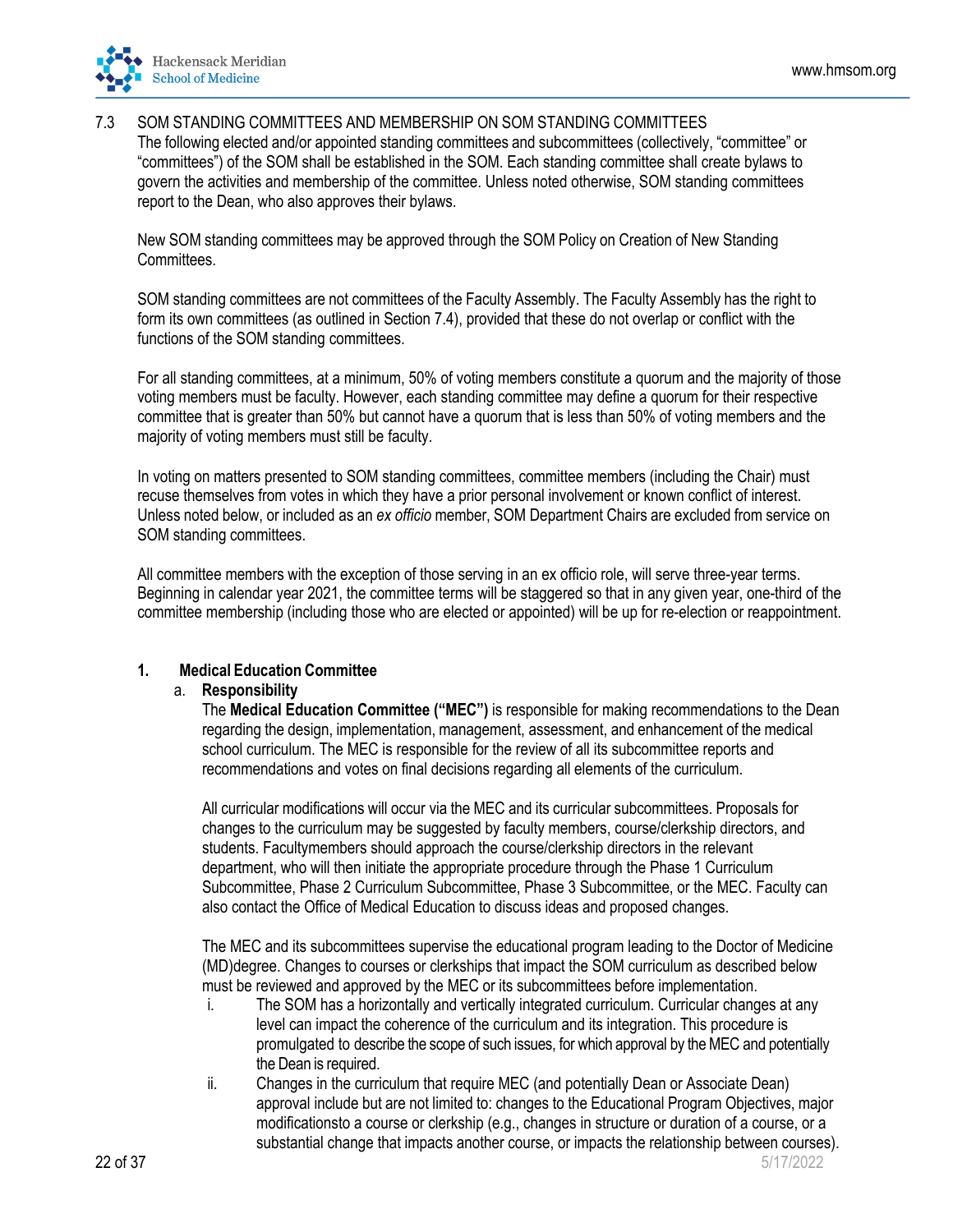

#### 7.3 SOM STANDING COMMITTEES AND MEMBERSHIP ON SOM STANDING COMMITTEES

The following elected and/or appointed standing committees and subcommittees (collectively, "committee" or "committees") of the SOM shall be established in the SOM. Each standing committee shall create bylaws to govern the activities and membership of the committee. Unless noted otherwise, SOM standing committees report to the Dean, who also approves their bylaws.

New SOM standing committees may be approved through the SOM Policy on Creation of New Standing Committees.

SOM standing committees are not committees of the Faculty Assembly. The Faculty Assembly has the right to form its own committees (as outlined in Section 7.4), provided that these do not overlap or conflict with the functions of the SOM standing committees.

For all standing committees, at a minimum, 50% of voting members constitute a quorum and the majority of those voting members must be faculty. However, each standing committee may define a quorum for their respective committee that is greater than 50% but cannot have a quorum that is less than 50% of voting members and the majority of voting members must still be faculty.

In voting on matters presented to SOM standing committees, committee members (including the Chair) must recuse themselves from votes in which they have a prior personal involvement or known conflict of interest. Unless noted below, or included as an *ex officio* member, SOM Department Chairs are excluded from service on SOM standing committees.

All committee members with the exception of those serving in an ex officio role, will serve three-year terms. Beginning in calendar year 2021, the committee terms will be staggered so that in any given year, one-third of the committee membership (including those who are elected or appointed) will be up for re-election or reappointment.

#### **1. Medical Education Committee**

#### a. **Responsibility**

The **Medical Education Committee ("MEC")** is responsible for making recommendations to the Dean regarding the design, implementation, management, assessment, and enhancement of the medical school curriculum. The MEC is responsible for the review of all its subcommittee reports and recommendations and votes on final decisions regarding all elements of the curriculum.

All curricular modifications will occur via the MEC and its curricular subcommittees. Proposals for changes to the curriculum may be suggested by faculty members, course/clerkship directors, and students. Facultymembers should approach the course/clerkship directors in the relevant department, who will then initiate the appropriate procedure through the Phase 1 Curriculum Subcommittee, Phase 2 Curriculum Subcommittee, Phase 3 Subcommittee, or the MEC. Faculty can also contact the Office of Medical Education to discuss ideas and proposed changes.

The MEC and its subcommittees supervise the educational program leading to the Doctor of Medicine (MD)degree. Changes to courses or clerkships that impact the SOM curriculum as described below must be reviewed and approved by the MEC or its subcommittees before implementation.

- i. The SOM has a horizontally and vertically integrated curriculum. Curricular changes at any level can impact the coherence of the curriculum and its integration. This procedure is promulgated to describe the scope of such issues, for which approval by the MEC and potentially the Dean is required.
- ii. Changes in the curriculum that require MEC (and potentially Dean or Associate Dean) approval include but are not limited to: changes to the Educational Program Objectives, major modificationsto a course or clerkship (e.g., changes in structure or duration of a course, or a substantial change that impacts another course, or impacts the relationship between courses).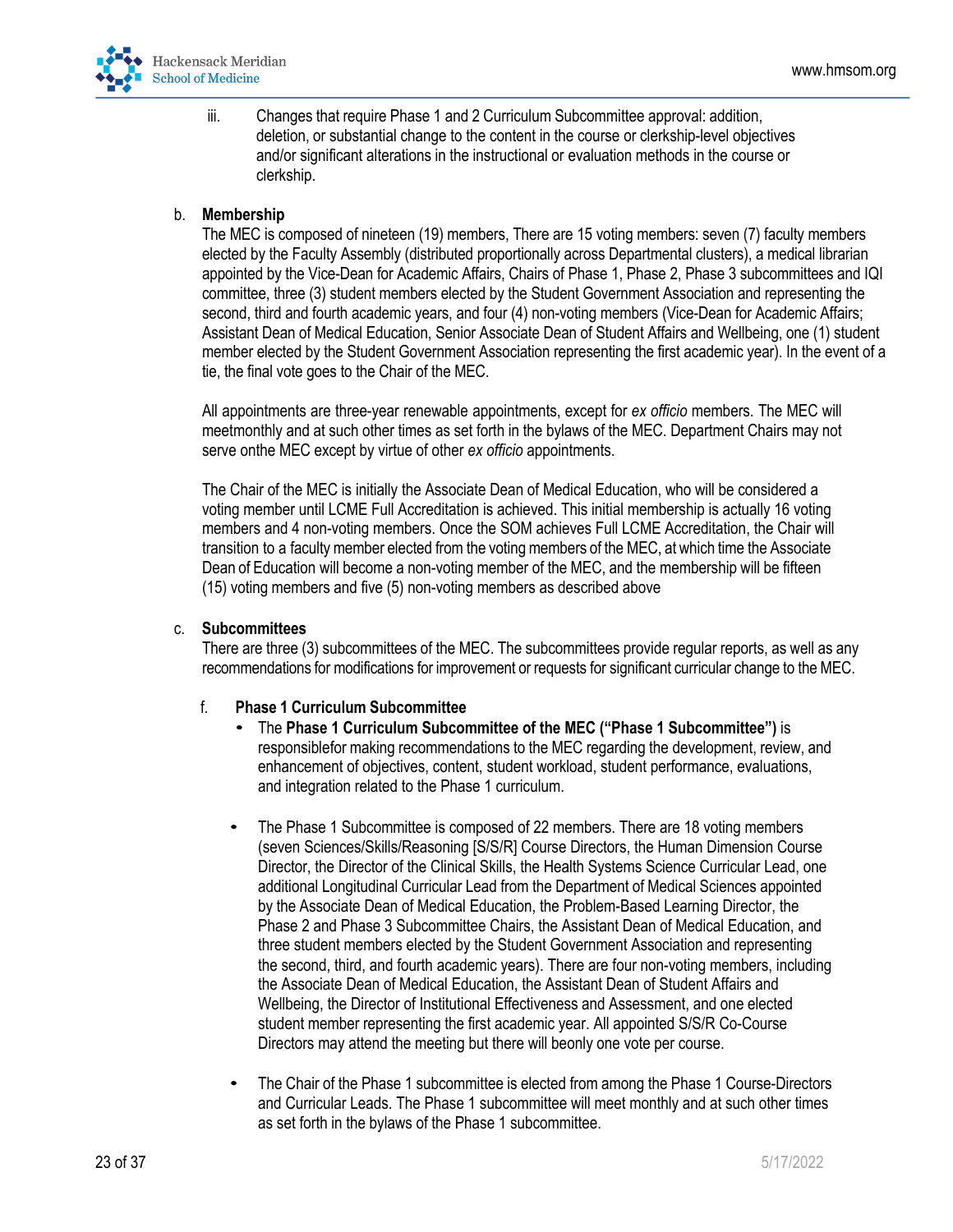

iii. Changes that require Phase 1 and 2 Curriculum Subcommittee approval: addition, deletion, or substantial change to the content in the course or clerkship-level objectives and/or significant alterations in the instructional or evaluation methods in the course or clerkship.

### b. **Membership**

The MEC is composed of nineteen (19) members, There are 15 voting members: seven (7) faculty members elected by the Faculty Assembly (distributed proportionally across Departmental clusters), a medical librarian appointed by the Vice-Dean for Academic Affairs, Chairs of Phase 1, Phase 2, Phase 3 subcommittees and IQI committee, three (3) student members elected by the Student Government Association and representing the second, third and fourth academic years, and four (4) non-voting members (Vice-Dean for Academic Affairs; Assistant Dean of Medical Education, Senior Associate Dean of Student Affairs and Wellbeing, one (1) student member elected by the Student Government Association representing the first academic year). In the event of a tie, the final vote goes to the Chair of the MEC.

All appointments are three-year renewable appointments, except for *ex officio* members. The MEC will meetmonthly and at such other times as set forth in the bylaws of the MEC. Department Chairs may not serve onthe MEC except by virtue of other *ex officio* appointments.

The Chair of the MEC is initially the Associate Dean of Medical Education, who will be considered a voting member until LCME Full Accreditation is achieved. This initial membership is actually 16 voting members and 4 non-voting members. Once the SOM achieves Full LCME Accreditation, the Chair will transition to a faculty member elected from the voting members of the MEC, at which time the Associate Dean of Education will become a non-voting member of the MEC, and the membership will be fifteen (15) voting members and five (5) non-voting members as described above

#### c. **Subcommittees**

There are three (3) subcommittees of the MEC. The subcommittees provide regular reports, as well as any recommendations for modifications for improvement or requests for significant curricular change to the MEC.

#### f. **Phase 1 Curriculum Subcommittee**

- The **Phase 1 Curriculum Subcommittee of the MEC ("Phase 1 Subcommittee")** is responsiblefor making recommendations to the MEC regarding the development, review, and enhancement of objectives, content, student workload, student performance, evaluations, and integration related to the Phase 1 curriculum.
- The Phase 1 Subcommittee is composed of 22 members. There are 18 voting members (seven Sciences/Skills/Reasoning [S/S/R] Course Directors, the Human Dimension Course Director, the Director of the Clinical Skills, the Health Systems Science Curricular Lead, one additional Longitudinal Curricular Lead from the Department of Medical Sciences appointed by the Associate Dean of Medical Education, the Problem-Based Learning Director, the Phase 2 and Phase 3 Subcommittee Chairs, the Assistant Dean of Medical Education, and three student members elected by the Student Government Association and representing the second, third, and fourth academic years). There are four non-voting members, including the Associate Dean of Medical Education, the Assistant Dean of Student Affairs and Wellbeing, the Director of Institutional Effectiveness and Assessment, and one elected student member representing the first academic year. All appointed S/S/R Co-Course Directors may attend the meeting but there will beonly one vote per course.
- The Chair of the Phase 1 subcommittee is elected from among the Phase 1 Course-Directors and Curricular Leads. The Phase 1 subcommittee will meet monthly and at such other times as set forth in the bylaws of the Phase 1 subcommittee.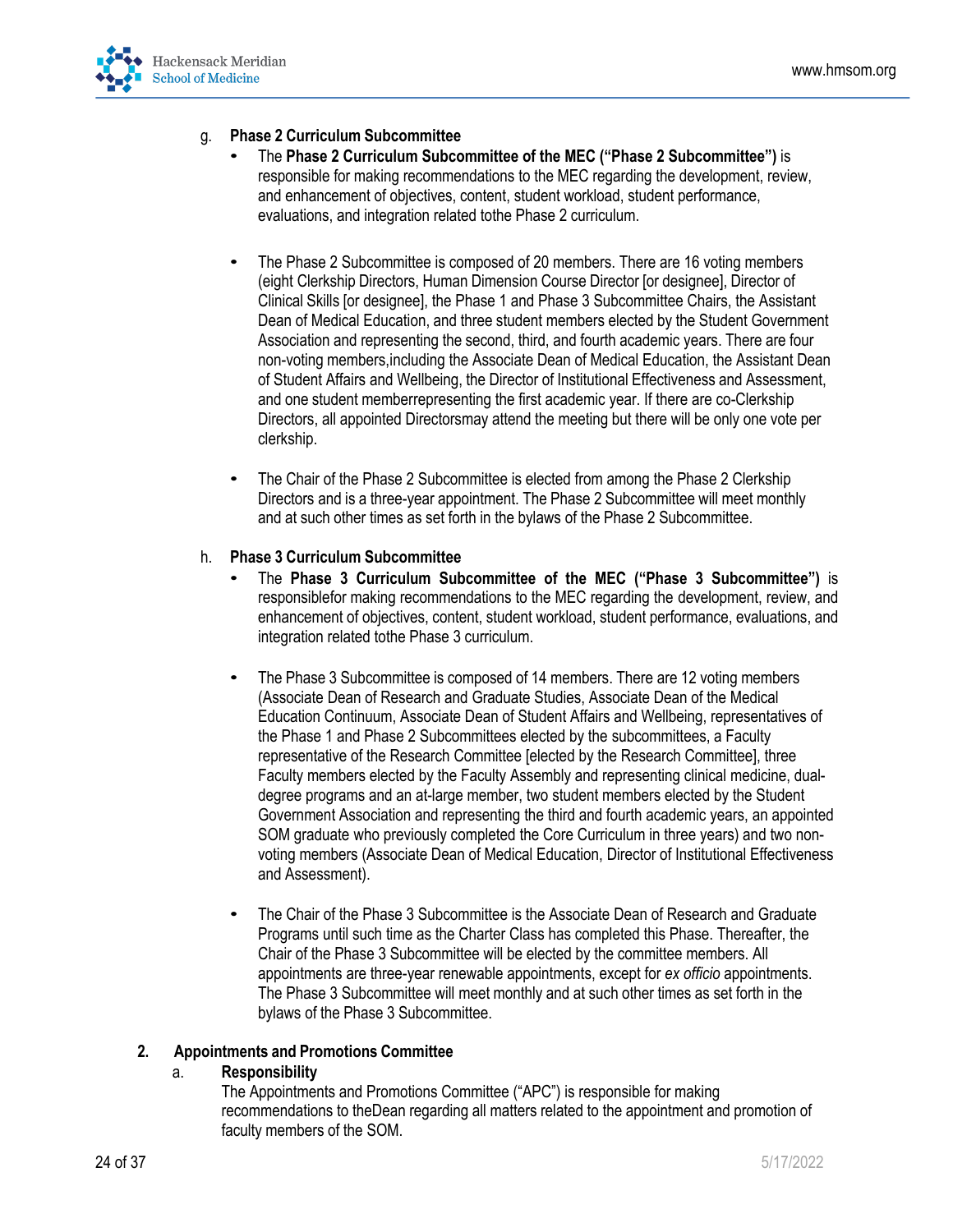

## g. **Phase 2 Curriculum Subcommittee**

- The **Phase 2 Curriculum Subcommittee of the MEC ("Phase 2 Subcommittee")** is responsible for making recommendations to the MEC regarding the development, review, and enhancement of objectives, content, student workload, student performance, evaluations, and integration related tothe Phase 2 curriculum.
- The Phase 2 Subcommittee is composed of 20 members. There are 16 voting members (eight Clerkship Directors, Human Dimension Course Director [or designee], Director of Clinical Skills [or designee], the Phase 1 and Phase 3 Subcommittee Chairs, the Assistant Dean of Medical Education, and three student members elected by the Student Government Association and representing the second, third, and fourth academic years. There are four non-voting members,including the Associate Dean of Medical Education, the Assistant Dean of Student Affairs and Wellbeing, the Director of Institutional Effectiveness and Assessment, and one student memberrepresenting the first academic year. If there are co-Clerkship Directors, all appointed Directorsmay attend the meeting but there will be only one vote per clerkship.
- The Chair of the Phase 2 Subcommittee is elected from among the Phase 2 Clerkship Directors and is a three-year appointment. The Phase 2 Subcommittee will meet monthly and at such other times as set forth in the bylaws of the Phase 2 Subcommittee.

## h. **Phase 3 Curriculum Subcommittee**

- The **Phase 3 Curriculum Subcommittee of the MEC ("Phase 3 Subcommittee")** is responsiblefor making recommendations to the MEC regarding the development, review, and enhancement of objectives, content, student workload, student performance, evaluations, and integration related tothe Phase 3 curriculum.
- The Phase 3 Subcommittee is composed of 14 members. There are 12 voting members (Associate Dean of Research and Graduate Studies, Associate Dean of the Medical Education Continuum, Associate Dean of Student Affairs and Wellbeing, representatives of the Phase 1 and Phase 2 Subcommittees elected by the subcommittees, a Faculty representative of the Research Committee [elected by the Research Committee], three Faculty members elected by the Faculty Assembly and representing clinical medicine, dualdegree programs and an at-large member, two student members elected by the Student Government Association and representing the third and fourth academic years, an appointed SOM graduate who previously completed the Core Curriculum in three years) and two nonvoting members (Associate Dean of Medical Education, Director of Institutional Effectiveness and Assessment).
- The Chair of the Phase 3 Subcommittee is the Associate Dean of Research and Graduate Programs until such time as the Charter Class has completed this Phase. Thereafter, the Chair of the Phase 3 Subcommittee will be elected by the committee members. All appointments are three-year renewable appointments, except for *ex officio* appointments. The Phase 3 Subcommittee will meet monthly and at such other times as set forth in the bylaws of the Phase 3 Subcommittee.

## **2. Appointments and Promotions Committee**

#### a. **Responsibility**

The Appointments and Promotions Committee ("APC") is responsible for making recommendations to theDean regarding all matters related to the appointment and promotion of faculty members of the SOM.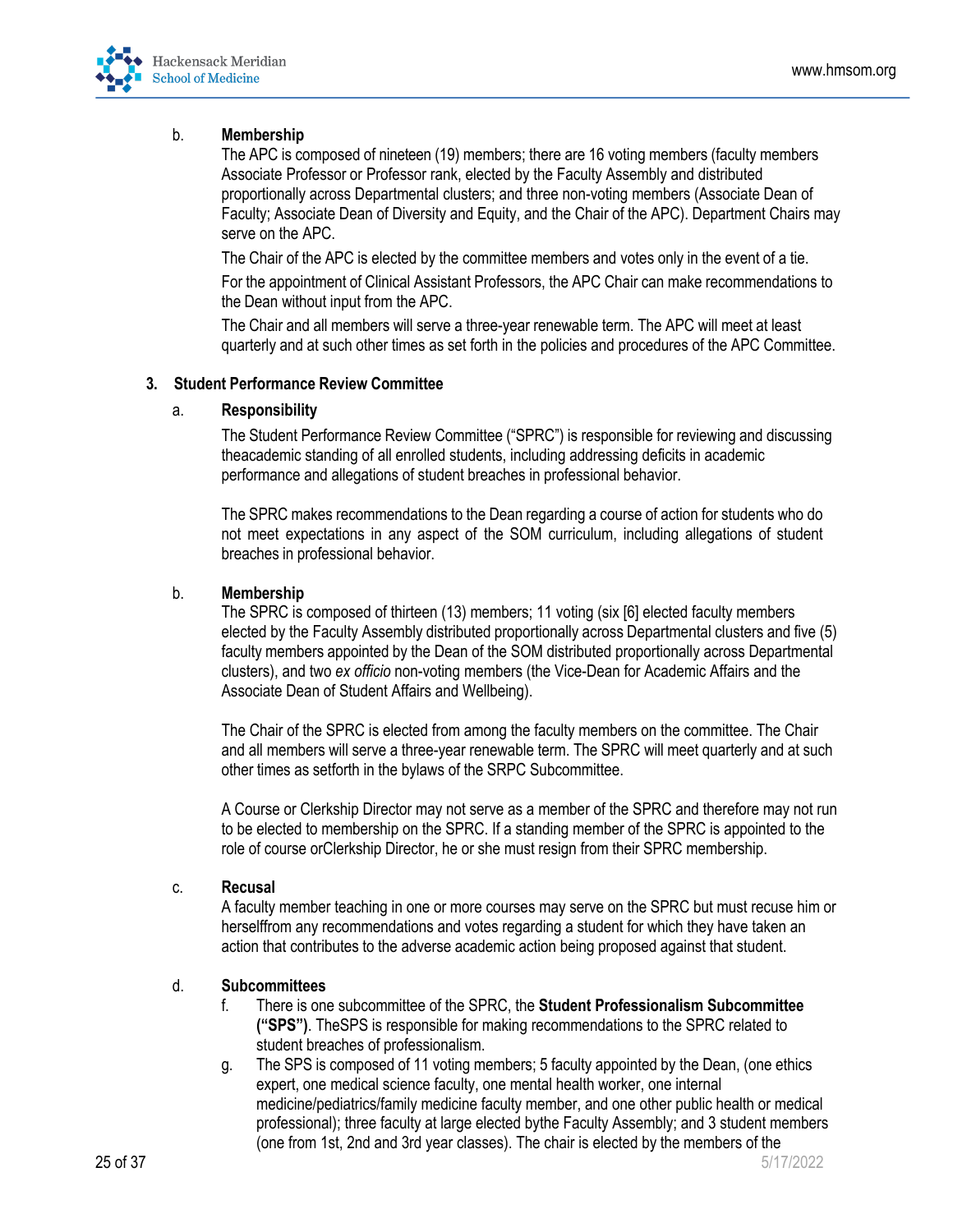

### b. **Membership**

The APC is composed of nineteen (19) members; there are 16 voting members (faculty members Associate Professor or Professor rank, elected by the Faculty Assembly and distributed proportionally across Departmental clusters; and three non-voting members (Associate Dean of Faculty; Associate Dean of Diversity and Equity, and the Chair of the APC). Department Chairs may serve on the APC.

The Chair of the APC is elected by the committee members and votes only in the event of a tie.

For the appointment of Clinical Assistant Professors, the APC Chair can make recommendations to the Dean without input from the APC.

The Chair and all members will serve a three-year renewable term. The APC will meet at least quarterly and at such other times as set forth in the policies and procedures of the APC Committee.

#### **3. Student Performance Review Committee**

## a. **Responsibility**

The Student Performance Review Committee ("SPRC") is responsible for reviewing and discussing theacademic standing of all enrolled students, including addressing deficits in academic performance and allegations of student breaches in professional behavior.

The SPRC makes recommendations to the Dean regarding a course of action for students who do not meet expectations in any aspect of the SOM curriculum, including allegations of student breaches in professional behavior.

#### b. **Membership**

The SPRC is composed of thirteen (13) members; 11 voting (six [6] elected faculty members elected by the Faculty Assembly distributed proportionally across Departmental clusters and five (5) faculty members appointed by the Dean of the SOM distributed proportionally across Departmental clusters), and two *ex officio* non-voting members (the Vice-Dean for Academic Affairs and the Associate Dean of Student Affairs and Wellbeing).

The Chair of the SPRC is elected from among the faculty members on the committee. The Chair and all members will serve a three-year renewable term. The SPRC will meet quarterly and at such other times as setforth in the bylaws of the SRPC Subcommittee.

A Course or Clerkship Director may not serve as a member of the SPRC and therefore may not run to be elected to membership on the SPRC. If a standing member of the SPRC is appointed to the role of course orClerkship Director, he or she must resign from their SPRC membership.

#### c. **Recusal**

A faculty member teaching in one or more courses may serve on the SPRC but must recuse him or herselffrom any recommendations and votes regarding a student for which they have taken an action that contributes to the adverse academic action being proposed against that student.

## d. **Subcommittees**

- f. There is one subcommittee of the SPRC, the **Student Professionalism Subcommittee ("SPS")**. TheSPS is responsible for making recommendations to the SPRC related to student breaches of professionalism.
- g. The SPS is composed of 11 voting members; 5 faculty appointed by the Dean, (one ethics expert, one medical science faculty, one mental health worker, one internal medicine/pediatrics/family medicine faculty member, and one other public health or medical professional); three faculty at large elected bythe Faculty Assembly; and 3 student members (one from 1st, 2nd and 3rd year classes). The chair is elected by the members of the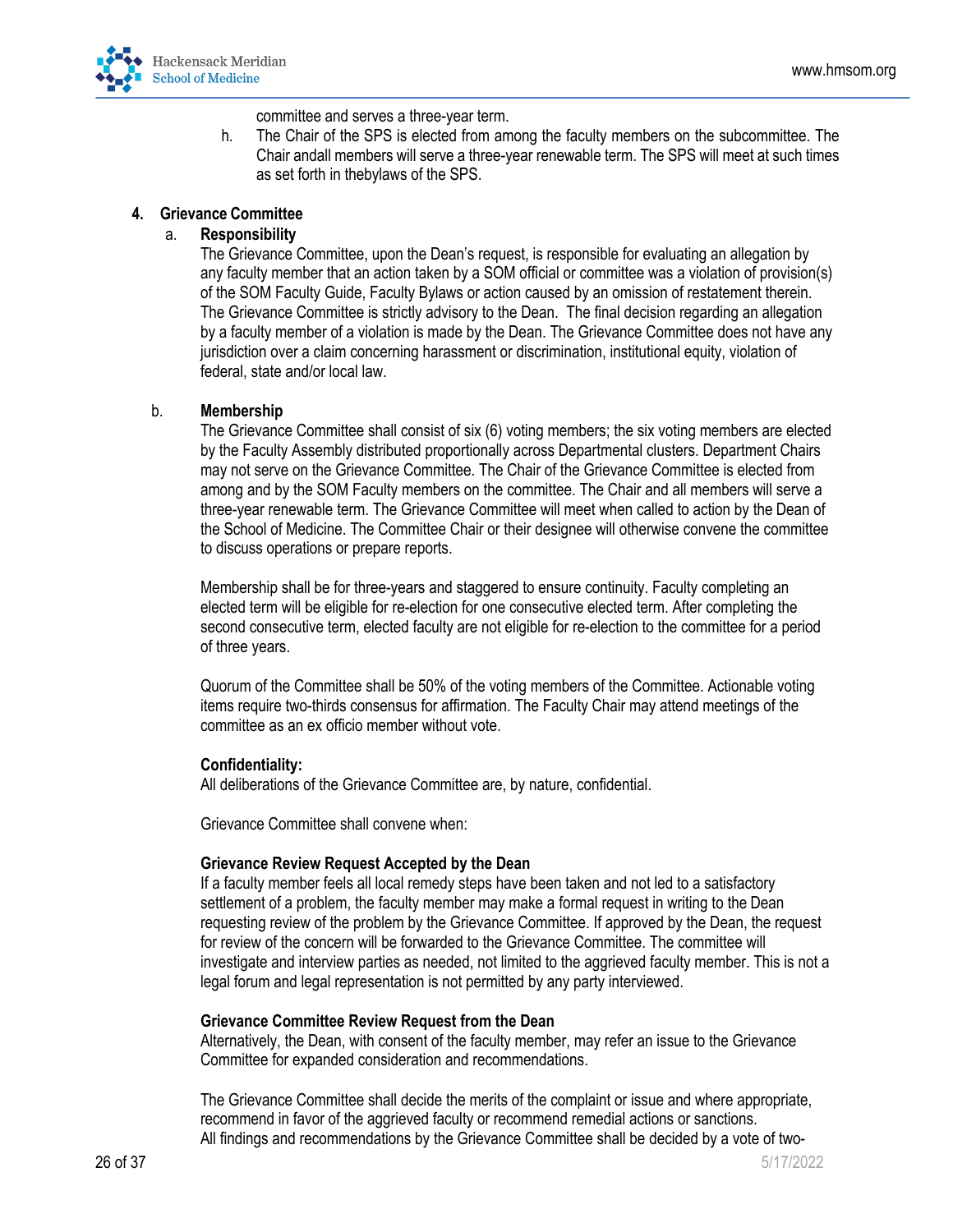

committee and serves a three-year term.

h. The Chair of the SPS is elected from among the faculty members on the subcommittee. The Chair andall members will serve a three-year renewable term. The SPS will meet at such times as set forth in thebylaws of the SPS.

## **4. Grievance Committee**

## a. **Responsibility**

The Grievance Committee, upon the Dean's request, is responsible for evaluating an allegation by any faculty member that an action taken by a SOM official or committee was a violation of provision(s) of the SOM Faculty Guide, Faculty Bylaws or action caused by an omission of restatement therein. The Grievance Committee is strictly advisory to the Dean. The final decision regarding an allegation by a faculty member of a violation is made by the Dean. The Grievance Committee does not have any jurisdiction over a claim concerning harassment or discrimination, institutional equity, violation of federal, state and/or local law.

## b. **Membership**

The Grievance Committee shall consist of six (6) voting members; the six voting members are elected by the Faculty Assembly distributed proportionally across Departmental clusters. Department Chairs may not serve on the Grievance Committee. The Chair of the Grievance Committee is elected from among and by the SOM Faculty members on the committee. The Chair and all members will serve a three-year renewable term. The Grievance Committee will meet when called to action by the Dean of the School of Medicine. The Committee Chair or their designee will otherwise convene the committee to discuss operations or prepare reports.

Membership shall be for three-years and staggered to ensure continuity. Faculty completing an elected term will be eligible for re-election for one consecutive elected term. After completing the second consecutive term, elected faculty are not eligible for re-election to the committee for a period of three years.

Quorum of the Committee shall be 50% of the voting members of the Committee. Actionable voting items require two-thirds consensus for affirmation. The Faculty Chair may attend meetings of the committee as an ex officio member without vote.

#### **Confidentiality:**

All deliberations of the Grievance Committee are, by nature, confidential.

Grievance Committee shall convene when:

#### **Grievance Review Request Accepted by the Dean**

If a faculty member feels all local remedy steps have been taken and not led to a satisfactory settlement of a problem, the faculty member may make a formal request in writing to the Dean requesting review of the problem by the Grievance Committee. If approved by the Dean, the request for review of the concern will be forwarded to the Grievance Committee. The committee will investigate and interview parties as needed, not limited to the aggrieved faculty member. This is not a legal forum and legal representation is not permitted by any party interviewed.

#### **Grievance Committee Review Request from the Dean**

Alternatively, the Dean, with consent of the faculty member, may refer an issue to the Grievance Committee for expanded consideration and recommendations.

The Grievance Committee shall decide the merits of the complaint or issue and where appropriate, recommend in favor of the aggrieved faculty or recommend remedial actions or sanctions. All findings and recommendations by the Grievance Committee shall be decided by a vote of two-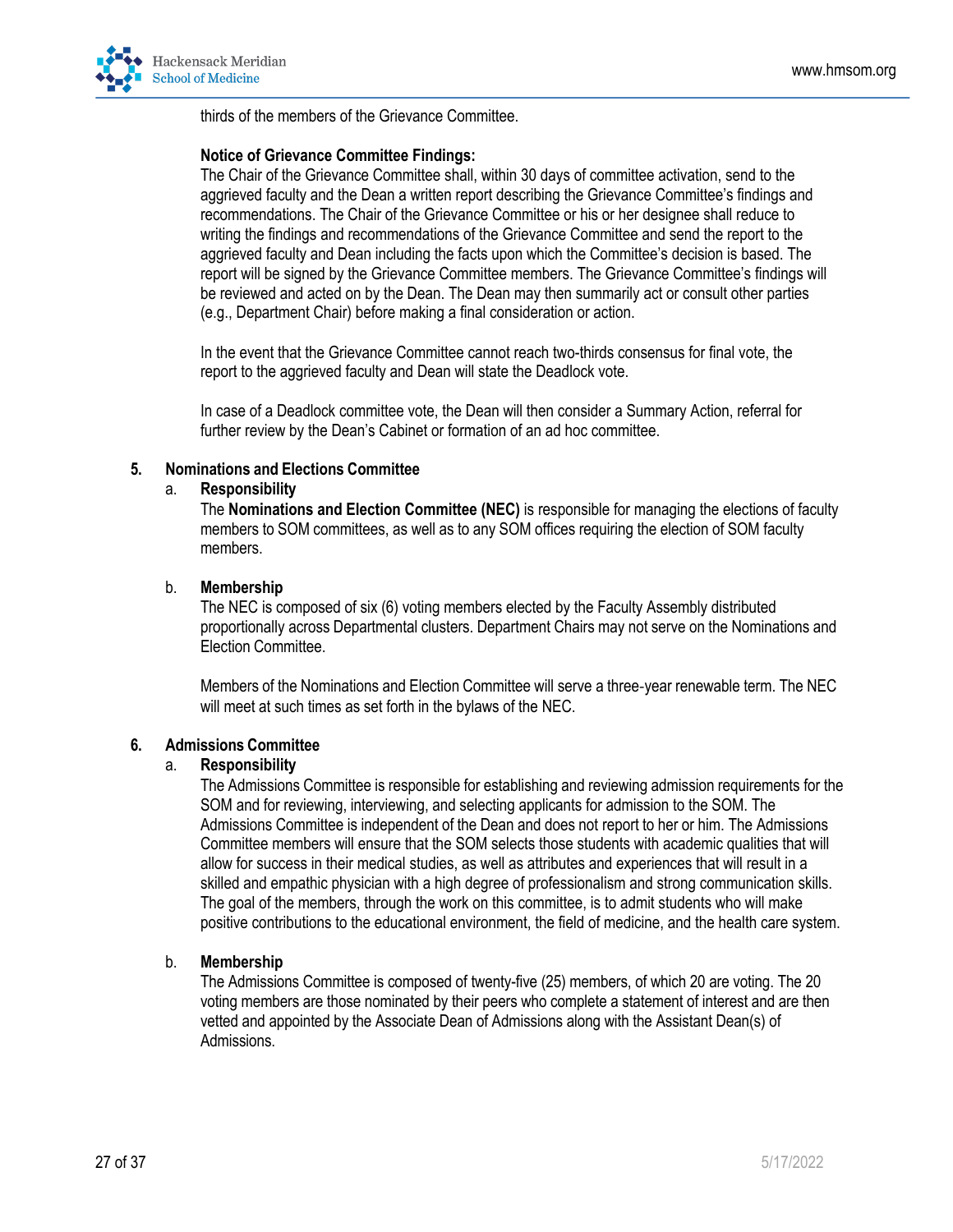

thirds of the members of the Grievance Committee.

#### **Notice of Grievance Committee Findings:**

The Chair of the Grievance Committee shall, within 30 days of committee activation, send to the aggrieved faculty and the Dean a written report describing the Grievance Committee's findings and recommendations. The Chair of the Grievance Committee or his or her designee shall reduce to writing the findings and recommendations of the Grievance Committee and send the report to the aggrieved faculty and Dean including the facts upon which the Committee's decision is based. The report will be signed by the Grievance Committee members. The Grievance Committee's findings will be reviewed and acted on by the Dean. The Dean may then summarily act or consult other parties (e.g., Department Chair) before making a final consideration or action.

In the event that the Grievance Committee cannot reach two-thirds consensus for final vote, the report to the aggrieved faculty and Dean will state the Deadlock vote.

In case of a Deadlock committee vote, the Dean will then consider a Summary Action, referral for further review by the Dean's Cabinet or formation of an ad hoc committee.

#### **5. Nominations and Elections Committee**

#### a. **Responsibility**

The **Nominations and Election Committee (NEC)** is responsible for managing the elections of faculty members to SOM committees, as well as to any SOM offices requiring the election of SOM faculty members.

#### b. **Membership**

The NEC is composed of six (6) voting members elected by the Faculty Assembly distributed proportionally across Departmental clusters. Department Chairs may not serve on the Nominations and Election Committee.

Members of the Nominations and Election Committee will serve a three-year renewable term. The NEC will meet at such times as set forth in the bylaws of the NEC.

#### **6. Admissions Committee**

#### a. **Responsibility**

The Admissions Committee is responsible for establishing and reviewing admission requirements for the SOM and for reviewing, interviewing, and selecting applicants for admission to the SOM. The Admissions Committee is independent of the Dean and does not report to her or him. The Admissions Committee members will ensure that the SOM selects those students with academic qualities that will allow for success in their medical studies, as well as attributes and experiences that will result in a skilled and empathic physician with a high degree of professionalism and strong communication skills. The goal of the members, through the work on this committee, is to admit students who will make positive contributions to the educational environment, the field of medicine, and the health care system.

#### b. **Membership**

The Admissions Committee is composed of twenty-five (25) members, of which 20 are voting. The 20 voting members are those nominated by their peers who complete a statement of interest and are then vetted and appointed by the Associate Dean of Admissions along with the Assistant Dean(s) of Admissions.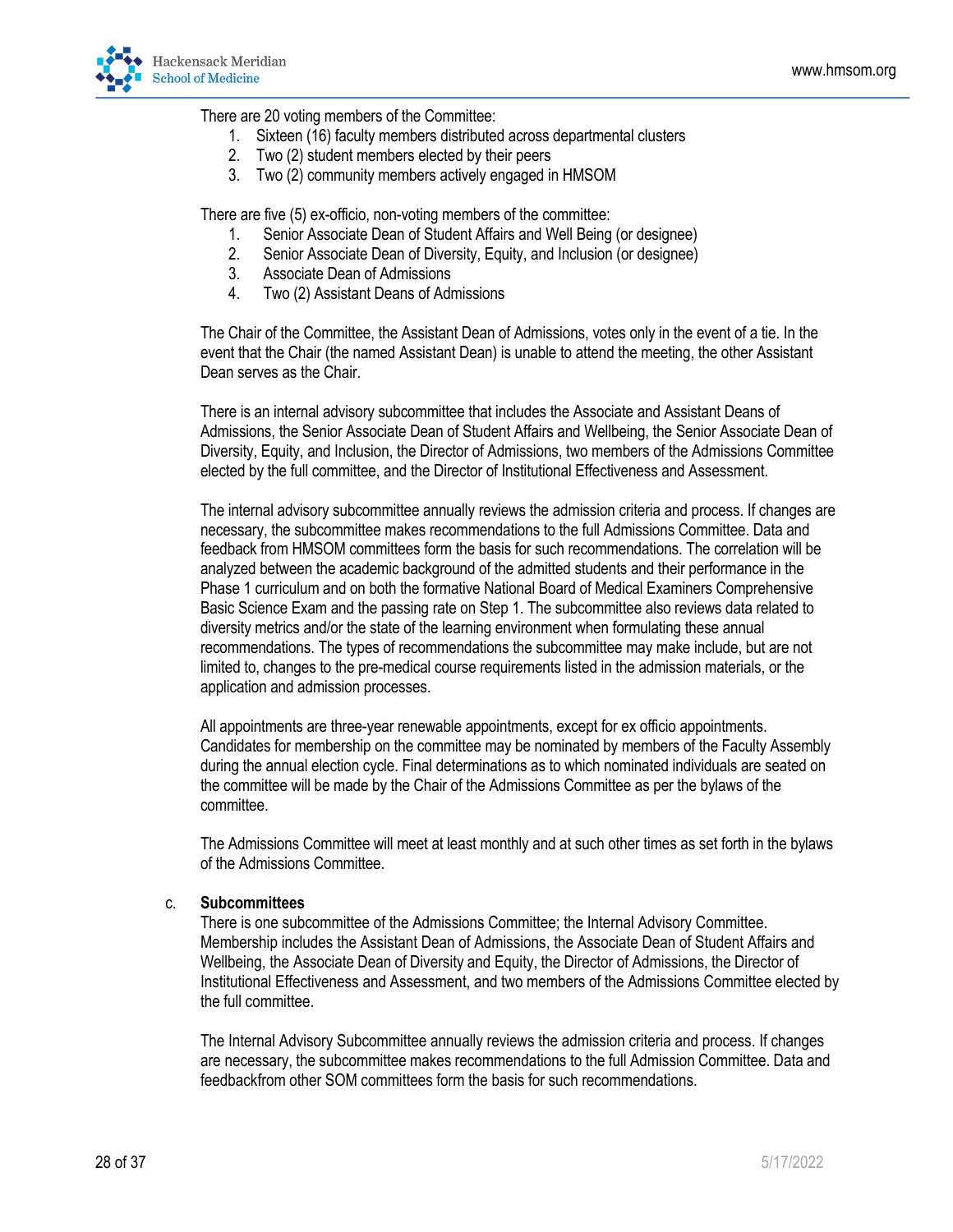

There are 20 voting members of the Committee:

- 1. Sixteen (16) faculty members distributed across departmental clusters
- 2. Two (2) student members elected by their peers
- 3. Two (2) community members actively engaged in HMSOM

There are five (5) ex-officio, non-voting members of the committee:

- 1. Senior Associate Dean of Student Affairs and Well Being (or designee)
- 2. Senior Associate Dean of Diversity, Equity, and Inclusion (or designee)
- 3. Associate Dean of Admissions
- 4. Two (2) Assistant Deans of Admissions

The Chair of the Committee, the Assistant Dean of Admissions, votes only in the event of a tie. In the event that the Chair (the named Assistant Dean) is unable to attend the meeting, the other Assistant Dean serves as the Chair.

There is an internal advisory subcommittee that includes the Associate and Assistant Deans of Admissions, the Senior Associate Dean of Student Affairs and Wellbeing, the Senior Associate Dean of Diversity, Equity, and Inclusion, the Director of Admissions, two members of the Admissions Committee elected by the full committee, and the Director of Institutional Effectiveness and Assessment.

The internal advisory subcommittee annually reviews the admission criteria and process. If changes are necessary, the subcommittee makes recommendations to the full Admissions Committee. Data and feedback from HMSOM committees form the basis for such recommendations. The correlation will be analyzed between the academic background of the admitted students and their performance in the Phase 1 curriculum and on both the formative National Board of Medical Examiners Comprehensive Basic Science Exam and the passing rate on Step 1. The subcommittee also reviews data related to diversity metrics and/or the state of the learning environment when formulating these annual recommendations. The types of recommendations the subcommittee may make include, but are not limited to, changes to the pre-medical course requirements listed in the admission materials, or the application and admission processes.

All appointments are three-year renewable appointments, except for ex officio appointments. Candidates for membership on the committee may be nominated by members of the Faculty Assembly during the annual election cycle. Final determinations as to which nominated individuals are seated on the committee will be made by the Chair of the Admissions Committee as per the bylaws of the committee.

The Admissions Committee will meet at least monthly and at such other times as set forth in the bylaws of the Admissions Committee.

#### c. **Subcommittees**

There is one subcommittee of the Admissions Committee; the Internal Advisory Committee. Membership includes the Assistant Dean of Admissions, the Associate Dean of Student Affairs and Wellbeing, the Associate Dean of Diversity and Equity, the Director of Admissions, the Director of Institutional Effectiveness and Assessment, and two members of the Admissions Committee elected by the full committee.

The Internal Advisory Subcommittee annually reviews the admission criteria and process. If changes are necessary, the subcommittee makes recommendations to the full Admission Committee. Data and feedbackfrom other SOM committees form the basis for such recommendations.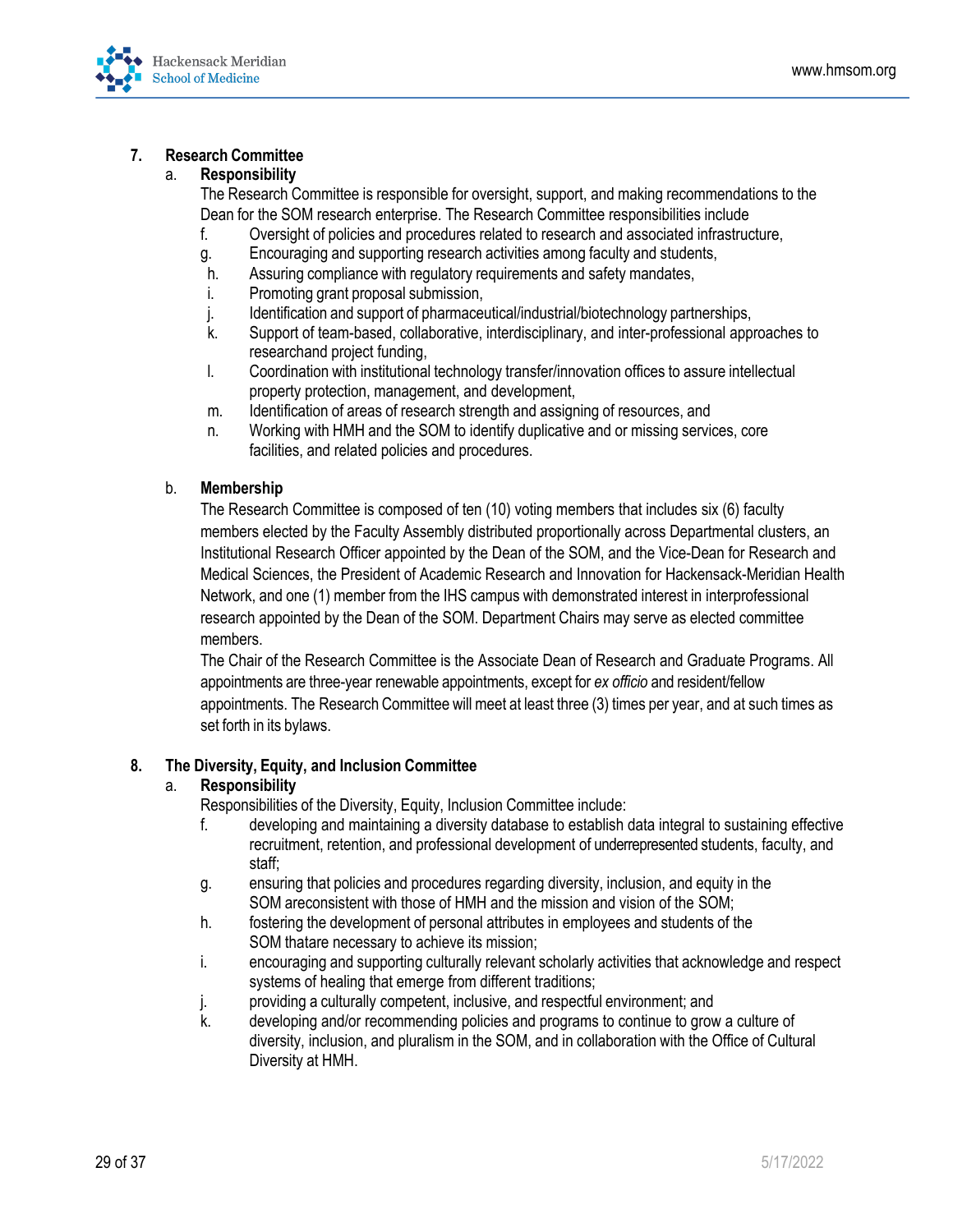

## **7. Research Committee**

## a. **Responsibility**

The Research Committee is responsible for oversight, support, and making recommendations to the Dean for the SOM research enterprise. The Research Committee responsibilities include

- f. Oversight of policies and procedures related to research and associated infrastructure,
- g. Encouraging and supporting research activities among faculty and students,
- h. Assuring compliance with regulatory requirements and safety mandates,
- i. Promoting grant proposal submission,
- j. Identification and support of pharmaceutical/industrial/biotechnology partnerships,
- k. Support of team-based, collaborative, interdisciplinary, and inter-professional approaches to researchand project funding,
- l. Coordination with institutional technology transfer/innovation offices to assure intellectual property protection, management, and development,
- m. Identification of areas of research strength and assigning of resources, and
- n. Working with HMH and the SOM to identify duplicative and or missing services, core facilities, and related policies and procedures.

## b. **Membership**

The Research Committee is composed of ten (10) voting members that includes six (6) faculty members elected by the Faculty Assembly distributed proportionally across Departmental clusters, an Institutional Research Officer appointed by the Dean of the SOM, and the Vice-Dean for Research and Medical Sciences, the President of Academic Research and Innovation for Hackensack-Meridian Health Network, and one (1) member from the IHS campus with demonstrated interest in interprofessional research appointed by the Dean of the SOM. Department Chairs may serve as elected committee members.

The Chair of the Research Committee is the Associate Dean of Research and Graduate Programs. All appointments are three-year renewable appointments, except for *ex officio* and resident/fellow appointments. The Research Committee will meet at least three (3) times per year, and at such times as set forth in its bylaws.

#### **8. The Diversity, Equity, and Inclusion Committee**

#### a. **Responsibility**

Responsibilities of the Diversity, Equity, Inclusion Committee include:

- f. developing and maintaining a diversity database to establish data integral to sustaining effective recruitment, retention, and professional development of underrepresented students, faculty, and staff;
- g. ensuring that policies and procedures regarding diversity, inclusion, and equity in the SOM areconsistent with those of HMH and the mission and vision of the SOM;
- h. fostering the development of personal attributes in employees and students of the SOM thatare necessary to achieve its mission;
- i. encouraging and supporting culturally relevant scholarly activities that acknowledge and respect systems of healing that emerge from different traditions;
- j. providing a culturally competent, inclusive, and respectful environment; and
- k. developing and/or recommending policies and programs to continue to grow a culture of diversity, inclusion, and pluralism in the SOM, and in collaboration with the Office of Cultural Diversity at HMH.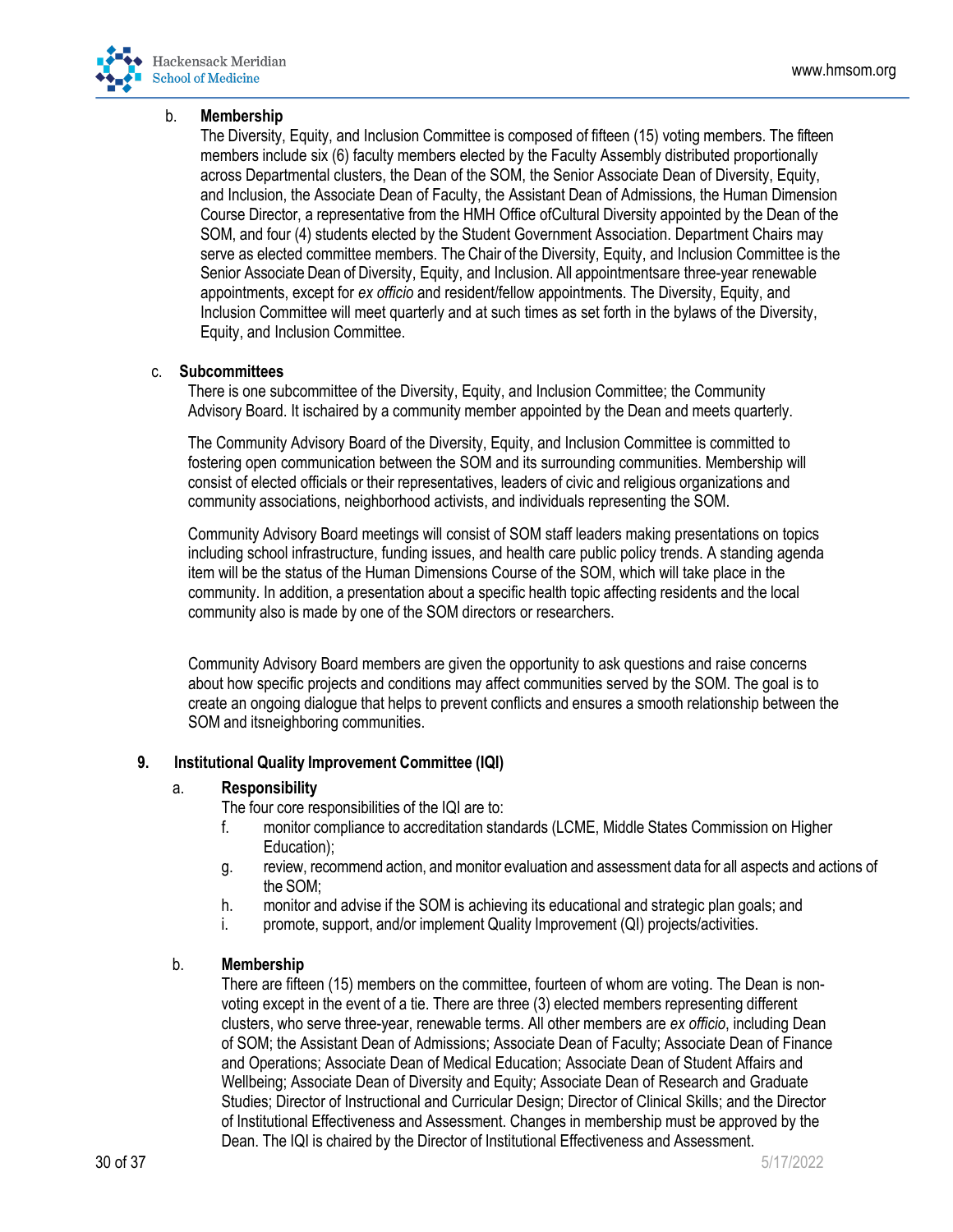

#### b. **Membership**

The Diversity, Equity, and Inclusion Committee is composed of fifteen (15) voting members. The fifteen members include six (6) faculty members elected by the Faculty Assembly distributed proportionally across Departmental clusters, the Dean of the SOM, the Senior Associate Dean of Diversity, Equity, and Inclusion, the Associate Dean of Faculty, the Assistant Dean of Admissions, the Human Dimension Course Director, a representative from the HMH Office ofCultural Diversity appointed by the Dean of the SOM, and four (4) students elected by the Student Government Association. Department Chairs may serve as elected committee members. The Chair of the Diversity, Equity, and Inclusion Committee is the Senior Associate Dean of Diversity, Equity, and Inclusion. All appointmentsare three-year renewable appointments, except for *ex officio* and resident/fellow appointments. The Diversity, Equity, and Inclusion Committee will meet quarterly and at such times as set forth in the bylaws of the Diversity, Equity, and Inclusion Committee.

## c. **Subcommittees**

There is one subcommittee of the Diversity, Equity, and Inclusion Committee; the Community Advisory Board. It ischaired by a community member appointed by the Dean and meets quarterly.

The Community Advisory Board of the Diversity, Equity, and Inclusion Committee is committed to fostering open communication between the SOM and its surrounding communities. Membership will consist of elected officials or their representatives, leaders of civic and religious organizations and community associations, neighborhood activists, and individuals representing the SOM.

Community Advisory Board meetings will consist of SOM staff leaders making presentations on topics including school infrastructure, funding issues, and health care public policy trends. A standing agenda item will be the status of the Human Dimensions Course of the SOM, which will take place in the community. In addition, a presentation about a specific health topic affecting residents and the local community also is made by one of the SOM directors or researchers.

Community Advisory Board members are given the opportunity to ask questions and raise concerns about how specific projects and conditions may affect communities served by the SOM. The goal is to create an ongoing dialogue that helps to prevent conflicts and ensures a smooth relationship between the SOM and itsneighboring communities.

## **9. Institutional Quality Improvement Committee (IQI)**

#### a. **Responsibility**

The four core responsibilities of the IQI are to:

- f. monitor compliance to accreditation standards (LCME, Middle States Commission on Higher Education);
- g. review, recommend action, and monitor evaluation and assessment data for all aspects and actions of the SOM;
- h. monitor and advise if the SOM is achieving its educational and strategic plan goals; and
- i. promote, support, and/or implement Quality Improvement (QI) projects/activities.

#### b. **Membership**

There are fifteen (15) members on the committee, fourteen of whom are voting. The Dean is nonvoting except in the event of a tie. There are three (3) elected members representing different clusters, who serve three-year, renewable terms. All other members are *ex officio*, including Dean of SOM; the Assistant Dean of Admissions; Associate Dean of Faculty; Associate Dean of Finance and Operations; Associate Dean of Medical Education; Associate Dean of Student Affairs and Wellbeing; Associate Dean of Diversity and Equity; Associate Dean of Research and Graduate Studies; Director of Instructional and Curricular Design; Director of Clinical Skills; and the Director of Institutional Effectiveness and Assessment. Changes in membership must be approved by the Dean. The IQI is chaired by the Director of Institutional Effectiveness and Assessment.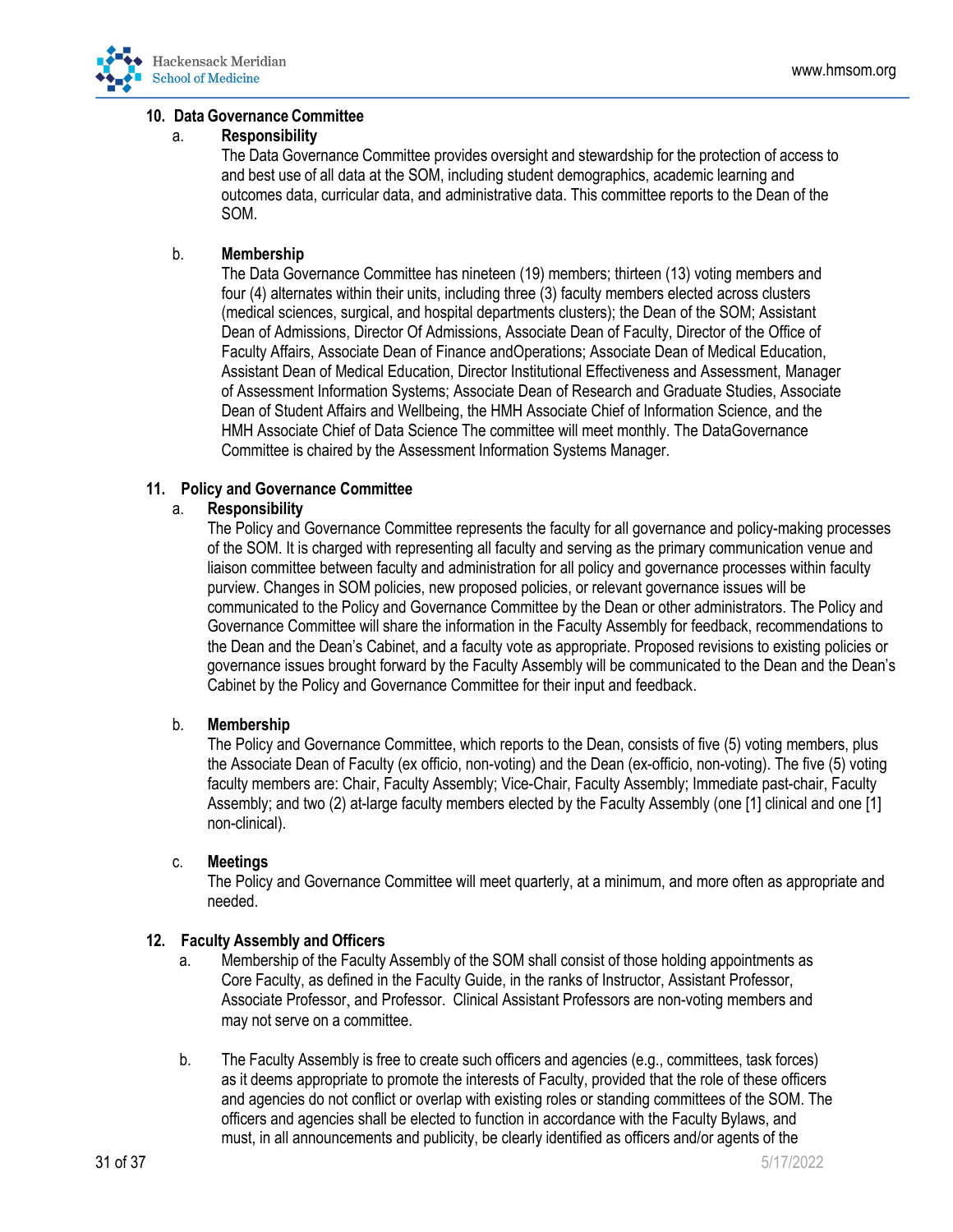

## **10. Data Governance Committee**

## a. **Responsibility**

The Data Governance Committee provides oversight and stewardship for the protection of access to and best use of all data at the SOM, including student demographics, academic learning and outcomes data, curricular data, and administrative data. This committee reports to the Dean of the SOM.

## b. **Membership**

The Data Governance Committee has nineteen (19) members; thirteen (13) voting members and four (4) alternates within their units, including three (3) faculty members elected across clusters (medical sciences, surgical, and hospital departments clusters); the Dean of the SOM; Assistant Dean of Admissions, Director Of Admissions, Associate Dean of Faculty, Director of the Office of Faculty Affairs, Associate Dean of Finance andOperations; Associate Dean of Medical Education, Assistant Dean of Medical Education, Director Institutional Effectiveness and Assessment, Manager of Assessment Information Systems; Associate Dean of Research and Graduate Studies, Associate Dean of Student Affairs and Wellbeing, the HMH Associate Chief of Information Science, and the HMH Associate Chief of Data Science The committee will meet monthly. The DataGovernance Committee is chaired by the Assessment Information Systems Manager.

## **11. Policy and Governance Committee**

## a. **Responsibility**

The Policy and Governance Committee represents the faculty for all governance and policy-making processes of the SOM. It is charged with representing all faculty and serving as the primary communication venue and liaison committee between faculty and administration for all policy and governance processes within faculty purview. Changes in SOM policies, new proposed policies, or relevant governance issues will be communicated to the Policy and Governance Committee by the Dean or other administrators. The Policy and Governance Committee will share the information in the Faculty Assembly for feedback, recommendations to the Dean and the Dean's Cabinet, and a faculty vote as appropriate. Proposed revisions to existing policies or governance issues brought forward by the Faculty Assembly will be communicated to the Dean and the Dean's Cabinet by the Policy and Governance Committee for their input and feedback.

## b. **Membership**

The Policy and Governance Committee, which reports to the Dean, consists of five (5) voting members, plus the Associate Dean of Faculty (ex officio, non-voting) and the Dean (ex-officio, non-voting). The five (5) voting faculty members are: Chair, Faculty Assembly; Vice-Chair, Faculty Assembly; Immediate past-chair, Faculty Assembly; and two (2) at-large faculty members elected by the Faculty Assembly (one [1] clinical and one [1] non-clinical).

## c. **Meetings**

The Policy and Governance Committee will meet quarterly, at a minimum, and more often as appropriate and needed.

## **12. Faculty Assembly and Officers**

- a. Membership of the Faculty Assembly of the SOM shall consist of those holding appointments as Core Faculty, as defined in the Faculty Guide, in the ranks of Instructor, Assistant Professor, Associate Professor, and Professor. Clinical Assistant Professors are non-voting members and may not serve on a committee.
- b. The Faculty Assembly is free to create such officers and agencies (e.g., committees, task forces) as it deems appropriate to promote the interests of Faculty, provided that the role of these officers and agencies do not conflict or overlap with existing roles or standing committees of the SOM. The officers and agencies shall be elected to function in accordance with the Faculty Bylaws, and must, in all announcements and publicity, be clearly identified as officers and/or agents of the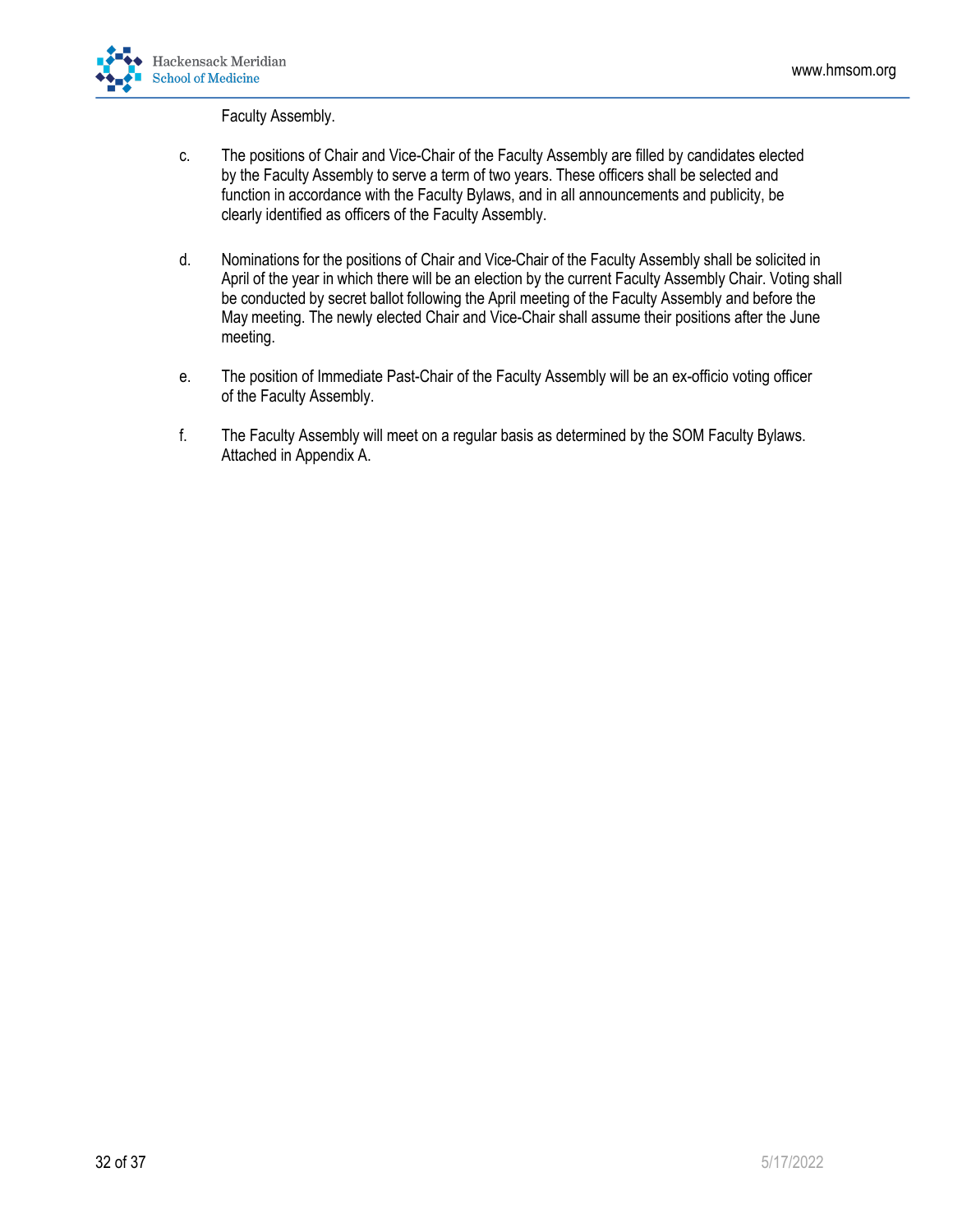

Faculty Assembly.

- c. The positions of Chair and Vice-Chair of the Faculty Assembly are filled by candidates elected by the Faculty Assembly to serve a term of two years. These officers shall be selected and function in accordance with the Faculty Bylaws, and in all announcements and publicity, be clearly identified as officers of the Faculty Assembly.
- d. Nominations for the positions of Chair and Vice-Chair of the Faculty Assembly shall be solicited in April of the year in which there will be an election by the current Faculty Assembly Chair. Voting shall be conducted by secret ballot following the April meeting of the Faculty Assembly and before the May meeting. The newly elected Chair and Vice-Chair shall assume their positions after the June meeting.
- e. The position of Immediate Past-Chair of the Faculty Assembly will be an ex-officio voting officer of the Faculty Assembly.
- f. The Faculty Assembly will meet on a regular basis as determined by the SOM Faculty Bylaws. Attached in Appendix A.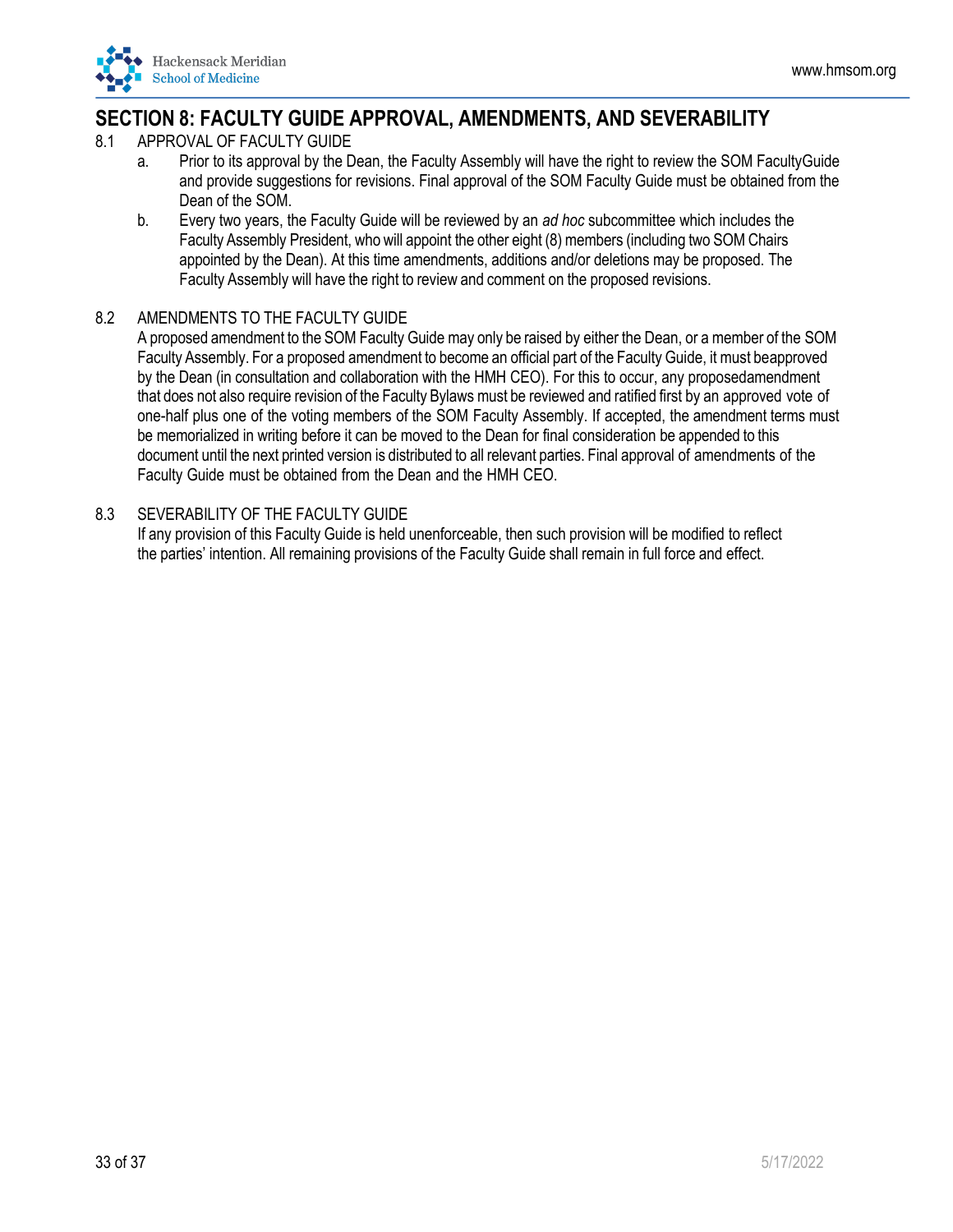<span id="page-32-0"></span>

## **SECTION 8: FACULTY GUIDE APPROVAL, AMENDMENTS, AND SEVERABILITY**

- 8.1 APPROVAL OF FACULTY GUIDE
	- a. Prior to its approval by the Dean, the Faculty Assembly will have the right to review the SOM FacultyGuide and provide suggestions for revisions. Final approval of the SOM Faculty Guide must be obtained from the Dean of the SOM.
	- b. Every two years, the Faculty Guide will be reviewed by an *ad hoc* subcommittee which includes the Faculty Assembly President, who will appoint the other eight (8) members (including two SOM Chairs appointed by the Dean). At this time amendments, additions and/or deletions may be proposed. The Faculty Assembly will have the right to review and comment on the proposed revisions.

## 8.2 AMENDMENTS TO THE FACULTY GUIDE

A proposed amendment to the SOM Faculty Guide may only be raised by either the Dean, or a member of the SOM Faculty Assembly. For a proposed amendment to become an official part of the Faculty Guide, it must beapproved by the Dean (in consultation and collaboration with the HMH CEO). For this to occur, any proposedamendment that does not also require revision of the Faculty Bylaws must be reviewed and ratified first by an approved vote of one-half plus one of the voting members of the SOM Faculty Assembly. If accepted, the amendment terms must be memorialized in writing before it can be moved to the Dean for final consideration be appended to this document until the next printed version is distributed to all relevant parties. Final approval of amendments of the Faculty Guide must be obtained from the Dean and the HMH CEO.

## 8.3 SEVERABILITY OF THE FACULTY GUIDE

If any provision of this Faculty Guide is held unenforceable, then such provision will be modified to reflect the parties' intention. All remaining provisions of the Faculty Guide shall remain in full force and effect.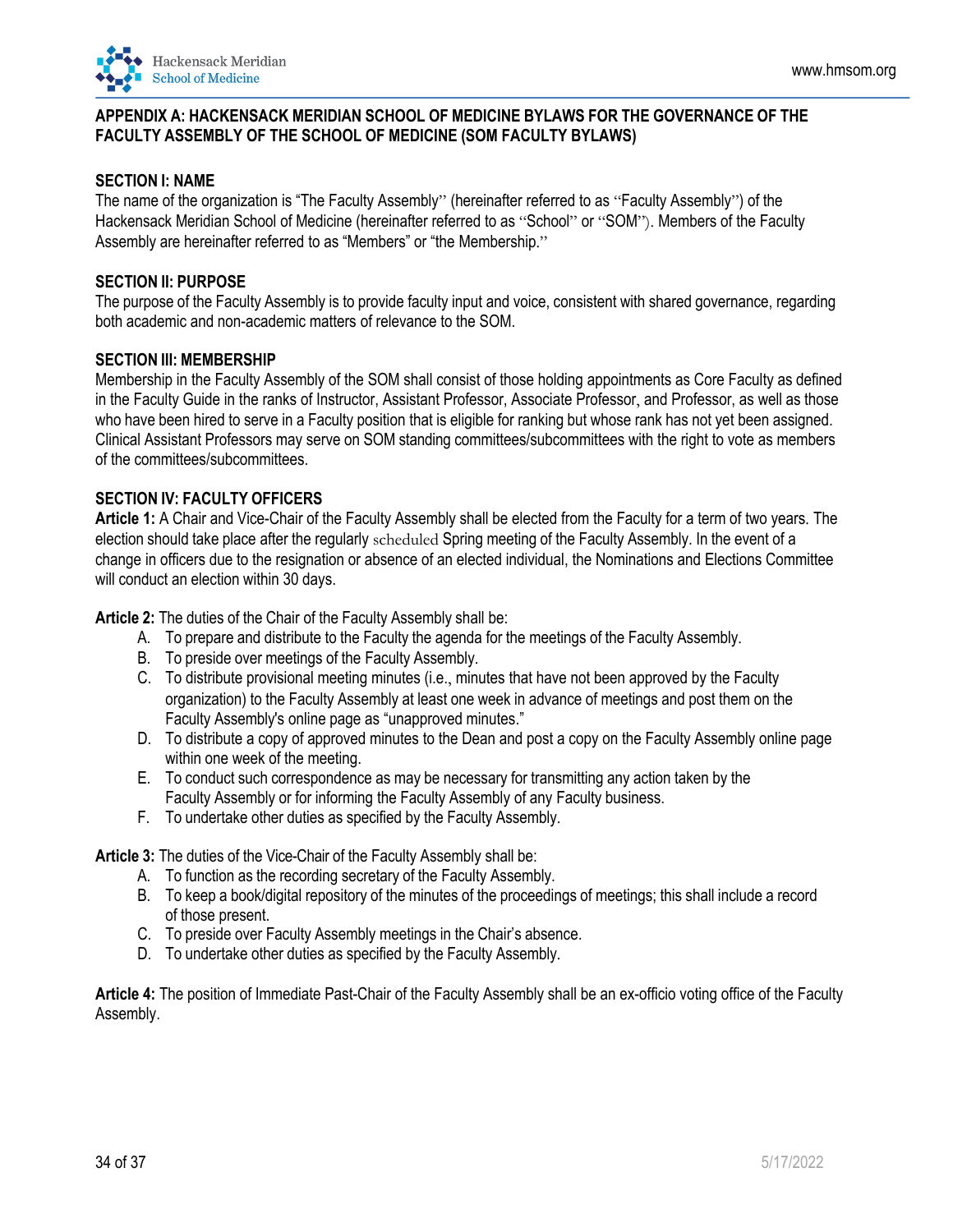<span id="page-33-0"></span>

## **APPENDIX A: HACKENSACK MERIDIAN SCHOOL OF MEDICINE BYLAWS FOR THE GOVERNANCE OF THE FACULTY ASSEMBLY OF THE SCHOOL OF MEDICINE (SOM FACULTY BYLAWS)**

### **SECTION I: NAME**

The name of the organization is "The Faculty Assembly" (hereinafter referred to as "Faculty Assembly") of the Hackensack Meridian School of Medicine (hereinafter referred to as "School" or "SOM"). Members of the Faculty Assembly are hereinafter referred to as "Members" or "the Membership."

### **SECTION II: PURPOSE**

The purpose of the Faculty Assembly is to provide faculty input and voice, consistent with shared governance, regarding both academic and non-academic matters of relevance to the SOM.

## **SECTION III: MEMBERSHIP**

Membership in the Faculty Assembly of the SOM shall consist of those holding appointments as Core Faculty as defined in the Faculty Guide in the ranks of Instructor, Assistant Professor, Associate Professor, and Professor, as well as those who have been hired to serve in a Faculty position that is eligible for ranking but whose rank has not yet been assigned. Clinical Assistant Professors may serve on SOM standing committees/subcommittees with the right to vote as members of the committees/subcommittees.

#### **SECTION IV: FACULTY OFFICERS**

**Article 1:** A Chair and Vice-Chair of the Faculty Assembly shall be elected from the Faculty for a term of two years. The election should take place after the regularly scheduled Spring meeting of the Faculty Assembly. In the event of a change in officers due to the resignation or absence of an elected individual, the Nominations and Elections Committee will conduct an election within 30 days.

**Article 2:** The duties of the Chair of the Faculty Assembly shall be:

- A. To prepare and distribute to the Faculty the agenda for the meetings of the Faculty Assembly.
- B. To preside over meetings of the Faculty Assembly.
- C. To distribute provisional meeting minutes (i.e., minutes that have not been approved by the Faculty organization) to the Faculty Assembly at least one week in advance of meetings and post them on the Faculty Assembly's online page as "unapproved minutes."
- D. To distribute a copy of approved minutes to the Dean and post a copy on the Faculty Assembly online page within one week of the meeting.
- E. To conduct such correspondence as may be necessary for transmitting any action taken by the Faculty Assembly or for informing the Faculty Assembly of any Faculty business.
- F. To undertake other duties as specified by the Faculty Assembly.

**Article 3:** The duties of the Vice-Chair of the Faculty Assembly shall be:

- A. To function as the recording secretary of the Faculty Assembly.
- B. To keep a book/digital repository of the minutes of the proceedings of meetings; this shall include a record of those present.
- C. To preside over Faculty Assembly meetings in the Chair's absence.
- D. To undertake other duties as specified by the Faculty Assembly.

**Article 4:** The position of Immediate Past-Chair of the Faculty Assembly shall be an ex-officio voting office of the Faculty Assembly.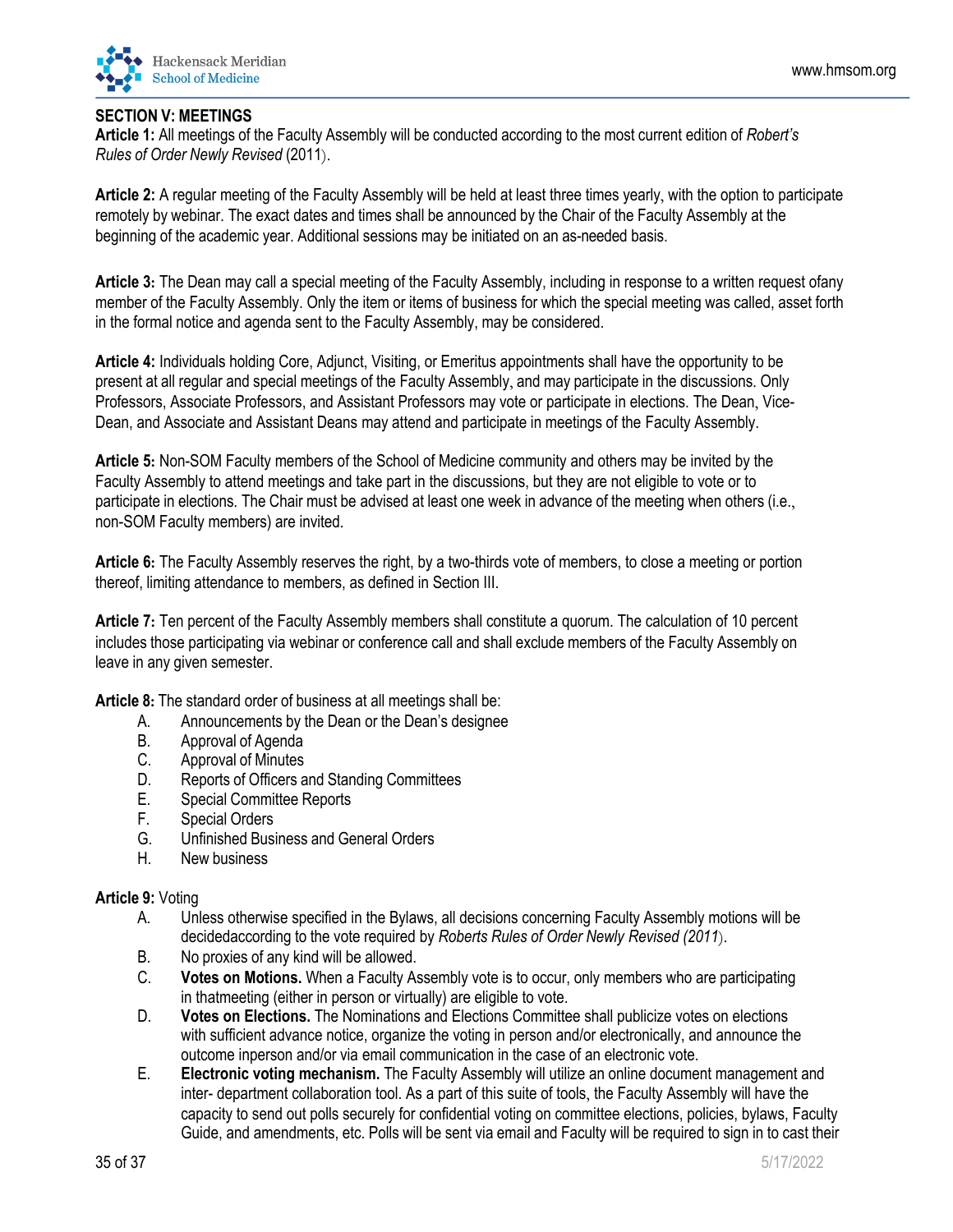

## **SECTION V: MEETINGS**

**Article 1:** All meetings of the Faculty Assembly will be conducted according to the most current edition of *Robert's Rules of Order Newly Revised* (2011).

**Article 2:** A regular meeting of the Faculty Assembly will be held at least three times yearly, with the option to participate remotely by webinar. The exact dates and times shall be announced by the Chair of the Faculty Assembly at the beginning of the academic year. Additional sessions may be initiated on an as-needed basis.

**Article 3:** The Dean may call a special meeting of the Faculty Assembly, including in response to a written request ofany member of the Faculty Assembly. Only the item or items of business for which the special meeting was called, asset forth in the formal notice and agenda sent to the Faculty Assembly, may be considered.

**Article 4:** Individuals holding Core, Adjunct, Visiting, or Emeritus appointments shall have the opportunity to be present at all regular and special meetings of the Faculty Assembly, and may participate in the discussions. Only Professors, Associate Professors, and Assistant Professors may vote or participate in elections. The Dean, Vice-Dean, and Associate and Assistant Deans may attend and participate in meetings of the Faculty Assembly.

**Article 5:** Non-SOM Faculty members of the School of Medicine community and others may be invited by the Faculty Assembly to attend meetings and take part in the discussions, but they are not eligible to vote or to participate in elections. The Chair must be advised at least one week in advance of the meeting when others (i.e., non-SOM Faculty members) are invited.

**Article 6:** The Faculty Assembly reserves the right, by a two-thirds vote of members, to close a meeting or portion thereof, limiting attendance to members, as defined in Section III.

**Article 7:** Ten percent of the Faculty Assembly members shall constitute a quorum. The calculation of 10 percent includes those participating via webinar or conference call and shall exclude members of the Faculty Assembly on leave in any given semester.

**Article 8:** The standard order of business at all meetings shall be:

- A. Announcements by the Dean or the Dean's designee
- B. Approval of Agenda
- C. Approval of Minutes
- D. Reports of Officers and Standing Committees
- E. Special Committee Reports
- F. Special Orders
- G. Unfinished Business and General Orders
- H. New business

## **Article 9:** Voting

- A. Unless otherwise specified in the Bylaws, all decisions concerning Faculty Assembly motions will be decidedaccording to the vote required by *Roberts Rules of Order Newly Revised (2011*).
- B. No proxies of any kind will be allowed.
- C. **Votes on Motions.** When a Faculty Assembly vote is to occur, only members who are participating in thatmeeting (either in person or virtually) are eligible to vote.
- D. **Votes on Elections.** The Nominations and Elections Committee shall publicize votes on elections with sufficient advance notice, organize the voting in person and/or electronically, and announce the outcome inperson and/or via email communication in the case of an electronic vote.
- E. **Electronic voting mechanism.** The Faculty Assembly will utilize an online document management and inter- department collaboration tool. As a part of this suite of tools, the Faculty Assembly will have the capacity to send out polls securely for confidential voting on committee elections, policies, bylaws, Faculty Guide, and amendments, etc. Polls will be sent via email and Faculty will be required to sign in to cast their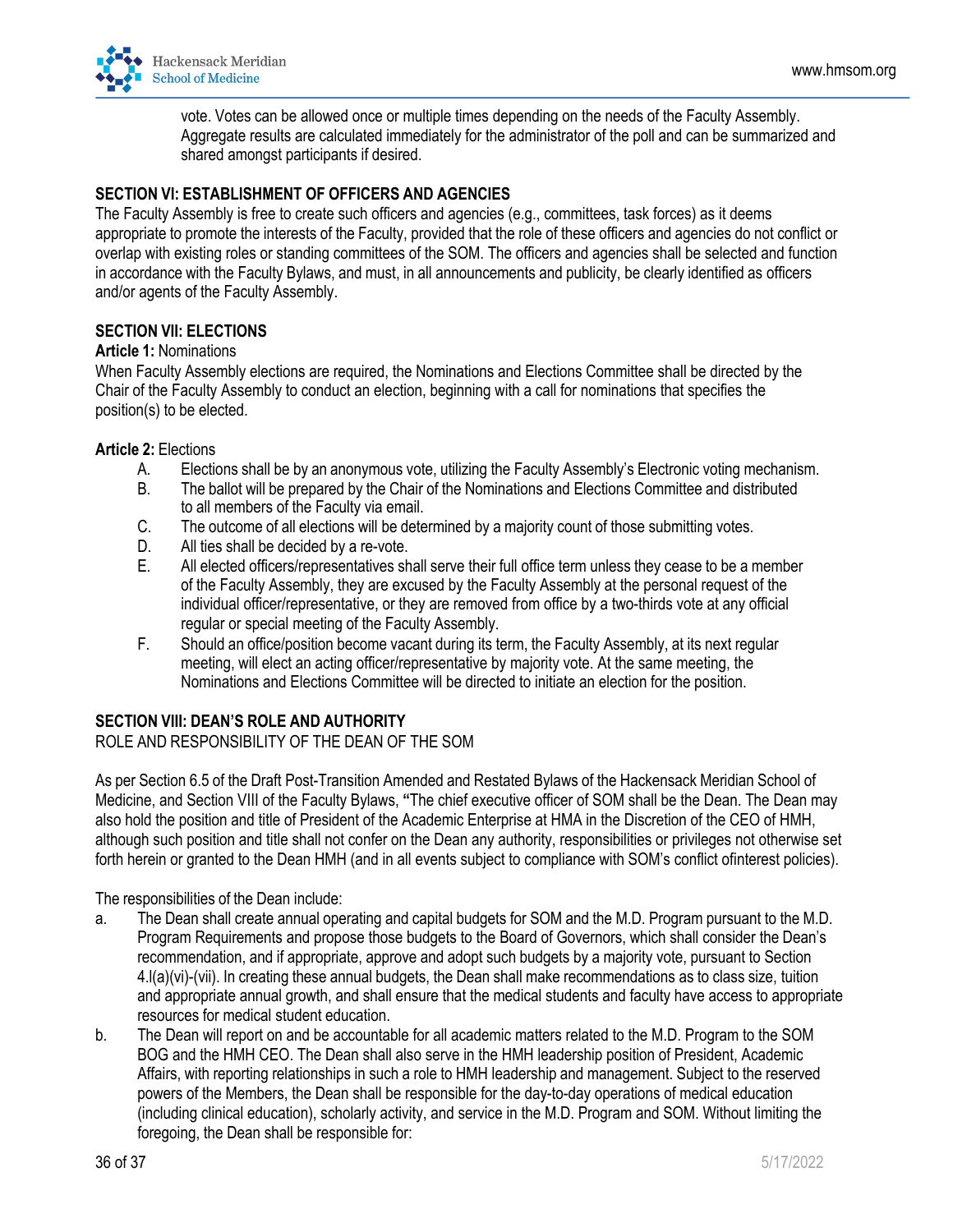

vote. Votes can be allowed once or multiple times depending on the needs of the Faculty Assembly. Aggregate results are calculated immediately for the administrator of the poll and can be summarized and shared amongst participants if desired.

### **SECTION VI: ESTABLISHMENT OF OFFICERS AND AGENCIES**

The Faculty Assembly is free to create such officers and agencies (e.g., committees, task forces) as it deems appropriate to promote the interests of the Faculty, provided that the role of these officers and agencies do not conflict or overlap with existing roles or standing committees of the SOM. The officers and agencies shall be selected and function in accordance with the Faculty Bylaws, and must, in all announcements and publicity, be clearly identified as officers and/or agents of the Faculty Assembly.

#### **SECTION VII: ELECTIONS**

#### **Article 1:** Nominations

When Faculty Assembly elections are required, the Nominations and Elections Committee shall be directed by the Chair of the Faculty Assembly to conduct an election, beginning with a call for nominations that specifies the position(s) to be elected.

#### **Article 2:** Elections

- A. Elections shall be by an anonymous vote, utilizing the Faculty Assembly's Electronic voting mechanism.
- B. The ballot will be prepared by the Chair of the Nominations and Elections Committee and distributed to all members of the Faculty via email.
- C. The outcome of all elections will be determined by a majority count of those submitting votes.
- D. All ties shall be decided by a re-vote.
- E. All elected officers/representatives shall serve their full office term unless they cease to be a member of the Faculty Assembly, they are excused by the Faculty Assembly at the personal request of the individual officer/representative, or they are removed from office by a two-thirds vote at any official regular or special meeting of the Faculty Assembly.
- F. Should an office/position become vacant during its term, the Faculty Assembly, at its next regular meeting, will elect an acting officer/representative by majority vote. At the same meeting, the Nominations and Elections Committee will be directed to initiate an election for the position.

#### **SECTION VIII: DEAN'S ROLE AND AUTHORITY**

#### ROLE AND RESPONSIBILITY OF THE DEAN OF THE SOM

As per Section 6.5 of the Draft Post-Transition Amended and Restated Bylaws of the Hackensack Meridian School of Medicine, and Section VIII of the Faculty Bylaws, **"**The chief executive officer of SOM shall be the Dean. The Dean may also hold the position and title of President of the Academic Enterprise at HMA in the Discretion of the CEO of HMH, although such position and title shall not confer on the Dean any authority, responsibilities or privileges not otherwise set forth herein or granted to the Dean HMH (and in all events subject to compliance with SOM's conflict ofinterest policies).

The responsibilities of the Dean include:

- a. The Dean shall create annual operating and capital budgets for SOM and the M.D. Program pursuant to the M.D. Program Requirements and propose those budgets to the Board of Governors, which shall consider the Dean's recommendation, and if appropriate, approve and adopt such budgets by a majority vote, pursuant to Section 4.l(a)(vi)-(vii). In creating these annual budgets, the Dean shall make recommendations as to class size, tuition and appropriate annual growth, and shall ensure that the medical students and faculty have access to appropriate resources for medical student education.
- b. The Dean will report on and be accountable for all academic matters related to the M.D. Program to the SOM BOG and the HMH CEO. The Dean shall also serve in the HMH leadership position of President, Academic Affairs, with reporting relationships in such a role to HMH leadership and management. Subject to the reserved powers of the Members, the Dean shall be responsible for the day-to-day operations of medical education (including clinical education), scholarly activity, and service in the M.D. Program and SOM. Without limiting the foregoing, the Dean shall be responsible for: